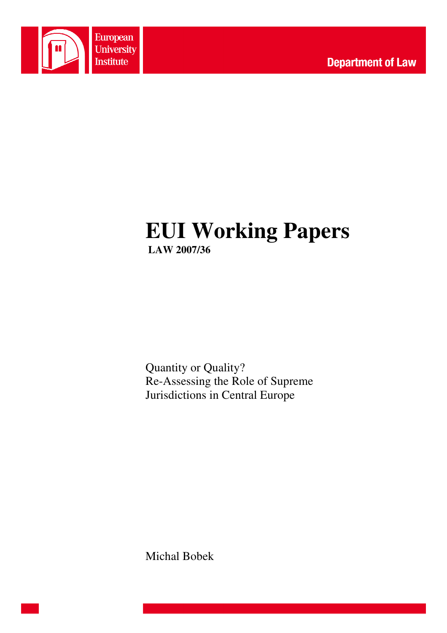

# **EUI Working Papers LAW 2007/36**

Quantity or Quality? Re-Assessing the Role of Supreme Jurisdictions in Central Europe

Michal Bobek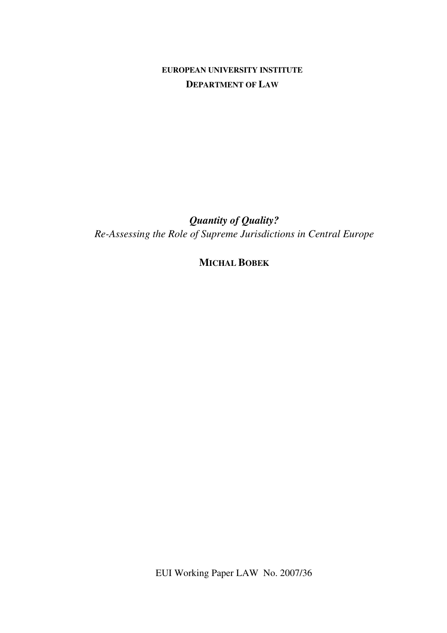**EUROPEAN UNIVERSITY INSTITUTE DEPARTMENT OF LAW**

*Quantity of Quality? Re-Assessing the Role of Supreme Jurisdictions in Central Europe* 

**MICHAL BOBEK**

EUI Working Paper LAW No. 2007/36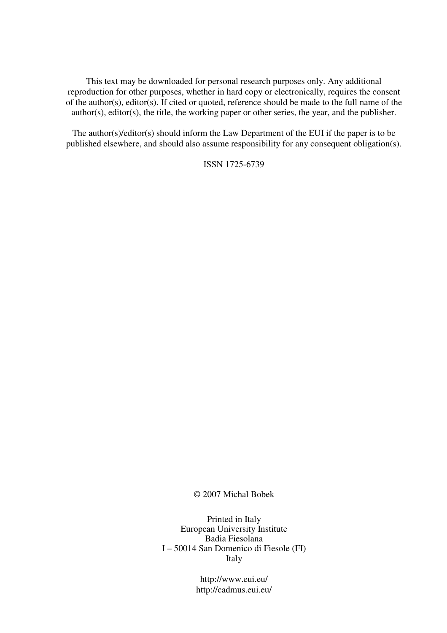This text may be downloaded for personal research purposes only. Any additional reproduction for other purposes, whether in hard copy or electronically, requires the consent of the author(s), editor(s). If cited or quoted, reference should be made to the full name of the author(s), editor(s), the title, the working paper or other series, the year, and the publisher.

The author(s)/editor(s) should inform the Law Department of the EUI if the paper is to be published elsewhere, and should also assume responsibility for any consequent obligation(s).

ISSN 1725-6739

#### © 2007 Michal Bobek

Printed in Italy European University Institute Badia Fiesolana I – 50014 San Domenico di Fiesole (FI) Italy

> http://www.eui.eu/ http://cadmus.eui.eu/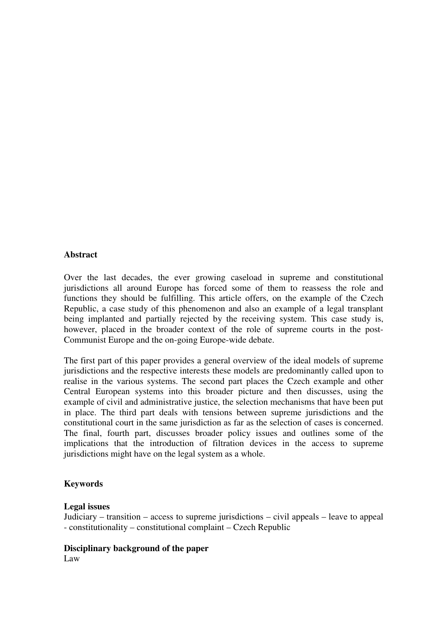## **Abstract**

Over the last decades, the ever growing caseload in supreme and constitutional jurisdictions all around Europe has forced some of them to reassess the role and functions they should be fulfilling. This article offers, on the example of the Czech Republic, a case study of this phenomenon and also an example of a legal transplant being implanted and partially rejected by the receiving system. This case study is, however, placed in the broader context of the role of supreme courts in the post-Communist Europe and the on-going Europe-wide debate.

The first part of this paper provides a general overview of the ideal models of supreme jurisdictions and the respective interests these models are predominantly called upon to realise in the various systems. The second part places the Czech example and other Central European systems into this broader picture and then discusses, using the example of civil and administrative justice, the selection mechanisms that have been put in place. The third part deals with tensions between supreme jurisdictions and the constitutional court in the same jurisdiction as far as the selection of cases is concerned. The final, fourth part, discusses broader policy issues and outlines some of the implications that the introduction of filtration devices in the access to supreme jurisdictions might have on the legal system as a whole.

## **Keywords**

## **Legal issues**

Judiciary – transition – access to supreme jurisdictions – civil appeals – leave to appeal - constitutionality – constitutional complaint – Czech Republic

# **Disciplinary background of the paper**

Law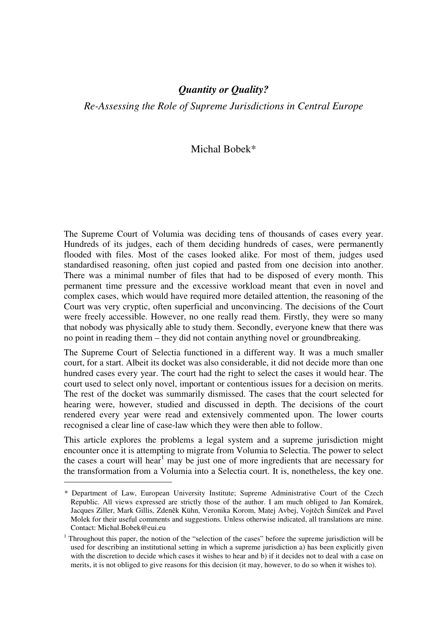*Re-Assessing the Role of Supreme Jurisdictions in Central Europe* 

# Michal Bobek\*

The Supreme Court of Volumia was deciding tens of thousands of cases every year. Hundreds of its judges, each of them deciding hundreds of cases, were permanently flooded with files. Most of the cases looked alike. For most of them, judges used standardised reasoning, often just copied and pasted from one decision into another. There was a minimal number of files that had to be disposed of every month. This permanent time pressure and the excessive workload meant that even in novel and complex cases, which would have required more detailed attention, the reasoning of the Court was very cryptic, often superficial and unconvincing. The decisions of the Court were freely accessible. However, no one really read them. Firstly, they were so many that nobody was physically able to study them. Secondly, everyone knew that there was no point in reading them – they did not contain anything novel or groundbreaking.

The Supreme Court of Selectia functioned in a different way. It was a much smaller court, for a start. Albeit its docket was also considerable, it did not decide more than one hundred cases every year. The court had the right to select the cases it would hear. The court used to select only novel, important or contentious issues for a decision on merits. The rest of the docket was summarily dismissed. The cases that the court selected for hearing were, however, studied and discussed in depth. The decisions of the court rendered every year were read and extensively commented upon. The lower courts recognised a clear line of case-law which they were then able to follow.

This article explores the problems a legal system and a supreme jurisdiction might encounter once it is attempting to migrate from Volumia to Selectia. The power to select the cases a court will hear<sup>1</sup> may be just one of more ingredients that are necessary for the transformation from a Volumia into a Selectia court. It is, nonetheless, the key one.

*<sup>\*</sup>* Department of Law, European University Institute; Supreme Administrative Court of the Czech Republic. All views expressed are strictly those of the author. I am much obliged to Jan Komárek, Jacques Ziller, Mark Gillis, Zdeněk Kühn, Veronika Korom, Matej Avbej, Vojtěch Šimíček and Pavel Molek for their useful comments and suggestions. Unless otherwise indicated, all translations are mine. Contact: Michal.Bobek@eui.eu

<sup>&</sup>lt;sup>1</sup> Throughout this paper, the notion of the "selection of the cases" before the supreme jurisdiction will be used for describing an institutional setting in which a supreme jurisdiction a) has been explicitly given with the discretion to decide which cases it wishes to hear and b) if it decides not to deal with a case on merits, it is not obliged to give reasons for this decision (it may, however, to do so when it wishes to).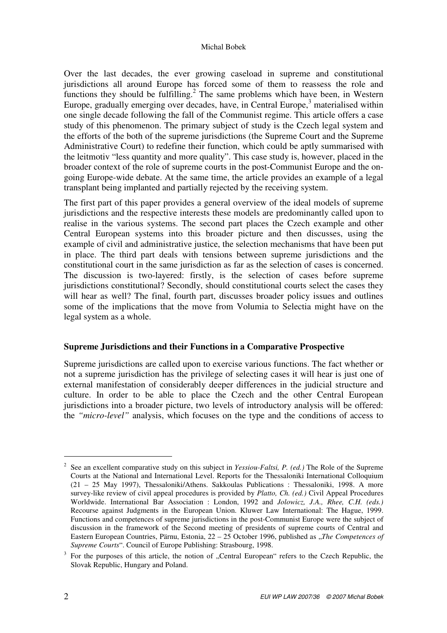Over the last decades, the ever growing caseload in supreme and constitutional jurisdictions all around Europe has forced some of them to reassess the role and functions they should be fulfilling.<sup>2</sup> The same problems which have been, in Western Europe, gradually emerging over decades, have, in Central Europe, $3$  materialised within one single decade following the fall of the Communist regime. This article offers a case study of this phenomenon. The primary subject of study is the Czech legal system and the efforts of the both of the supreme jurisdictions (the Supreme Court and the Supreme Administrative Court) to redefine their function, which could be aptly summarised with the leitmotiv "less quantity and more quality". This case study is, however, placed in the broader context of the role of supreme courts in the post-Communist Europe and the ongoing Europe-wide debate. At the same time, the article provides an example of a legal transplant being implanted and partially rejected by the receiving system.

The first part of this paper provides a general overview of the ideal models of supreme jurisdictions and the respective interests these models are predominantly called upon to realise in the various systems. The second part places the Czech example and other Central European systems into this broader picture and then discusses, using the example of civil and administrative justice, the selection mechanisms that have been put in place. The third part deals with tensions between supreme jurisdictions and the constitutional court in the same jurisdiction as far as the selection of cases is concerned. The discussion is two-layered: firstly, is the selection of cases before supreme jurisdictions constitutional? Secondly, should constitutional courts select the cases they will hear as well? The final, fourth part, discusses broader policy issues and outlines some of the implications that the move from Volumia to Selectia might have on the legal system as a whole.

# **Supreme Jurisdictions and their Functions in a Comparative Prospective**

Supreme jurisdictions are called upon to exercise various functions. The fact whether or not a supreme jurisdiction has the privilege of selecting cases it will hear is just one of external manifestation of considerably deeper differences in the judicial structure and culture. In order to be able to place the Czech and the other Central European jurisdictions into a broader picture, two levels of introductory analysis will be offered: the *"micro-level"* analysis, which focuses on the type and the conditions of access to

<sup>2</sup> See an excellent comparative study on this subject in *Yessiou-Faltsi, P. (ed.)* The Role of the Supreme Courts at the National and International Level. Reports for the Thessaloniki International Colloquium (21 – 25 May 1997), Thessaloniki/Athens. Sakkoulas Publications : Thessaloniki, 1998. A more survey-like review of civil appeal procedures is provided by *Platto, Ch. (ed.)* Civil Appeal Procedures Worldwide. International Bar Association : London, 1992 and *Jolowicz, J.A., Rhee, C.H. (eds.)* Recourse against Judgments in the European Union. Kluwer Law International: The Hague, 1999. Functions and competences of supreme jurisdictions in the post-Communist Europe were the subject of discussion in the framework of the Second meeting of presidents of supreme courts of Central and Eastern European Countries, Pärnu, Estonia, 22 – 25 October 1996, published as *"The Competences of Supreme Courts*". Council of Europe Publishing: Strasbourg, 1998.

<sup>3</sup> For the purposes of this article, the notion of "Central European" refers to the Czech Republic, the Slovak Republic, Hungary and Poland.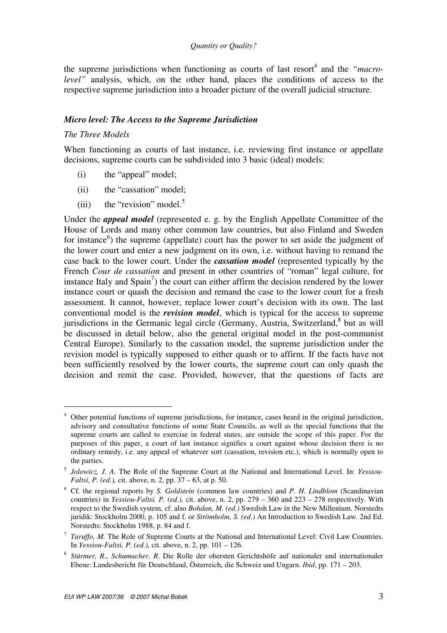the supreme jurisdictions when functioning as courts of last resort<sup>4</sup> and the "macro*level"* analysis, which, on the other hand, places the conditions of access to the respective supreme jurisdiction into a broader picture of the overall judicial structure.

## *Micro level: The Access to the Supreme Jurisdiction*

## *The Three Models*

When functioning as courts of last instance, i.e. reviewing first instance or appellate decisions, supreme courts can be subdivided into 3 basic (ideal) models:

- (i) the "appeal" model;
- (ii) the "cassation" model;
- (iii) the "revision" model.<sup>5</sup>

Under the *appeal model* (represented e. g. by the English Appellate Committee of the House of Lords and many other common law countries, but also Finland and Sweden for instance<sup>6</sup>) the supreme (appellate) court has the power to set aside the judgment of the lower court and enter a new judgment on its own, i.e. without having to remand the case back to the lower court. Under the *cassation model* (represented typically by the French *Cour de cassation* and present in other countries of "roman" legal culture, for instance Italy and  $Spin<sup>7</sup>$ ) the court can either affirm the decision rendered by the lower instance court or quash the decision and remand the case to the lower court for a fresh assessment. It cannot, however, replace lower court's decision with its own. The last conventional model is the *revision model*, which is typical for the access to supreme jurisdictions in the Germanic legal circle (Germany, Austria, Switzerland,<sup>8</sup> but as will be discussed in detail below, also the general original model in the post-communist Central Europe). Similarly to the cassation model, the supreme jurisdiction under the revision model is typically supposed to either quash or to affirm. If the facts have not been sufficiently resolved by the lower courts, the supreme court can only quash the decision and remit the case. Provided, however, that the questions of facts are

<sup>4</sup> Other potential functions of supreme jurisdictions, for instance, cases heard in the original jurisdiction, advisory and consultative functions of some State Councils, as well as the special functions that the supreme courts are called to exercise in federal states, are outside the scope of this paper. For the purposes of this paper, a court of last instance signifies a court against whose decision there is no ordinary remedy, i.e. any appeal of whatever sort (cassation, revision etc.), which is normally open to the parties.

<sup>5</sup> *Jolowicz, J. A.* The Role of the Supreme Court at the National and International Level. In: *Yessiou-Faltsi, P. (ed.),* cit. above, n. 2, pp. 37 – 63, at p. 50.

<sup>6</sup> Cf. the regional reports by *S. Goldstein* (common law countries) and *P. H. Lindblom* (Scandinavian countries) in *Yessiou-Faltsi, P. (ed.),* cit. above, n. 2, pp. 279 – 360 and 223 – 278 respectively. With respect to the Swedish system, cf. also *Bohdan, M. (ed.)* Swedish Law in the New Millenium. Norstedts juridik: Stockholm 2000, p. 105 and f. or *Strömholm, S. (ed.)* An Introduction to Swedish Law. 2nd Ed. Norstedts: Stockholm 1988, p. 84 and f.

<sup>&</sup>lt;sup>7</sup> *Taruffo, M.* The Role of Supreme Courts at the National and International Level: Civil Law Countries. In *Yessiou-Faltsi, P. (ed.),* cit. above, n. 2, pp. 101 – 126.

<sup>8</sup> *Stürmer, R., Schumacher, R*. Die Rolle der obersten Gerichtshöfe auf nationaler und internationaler Ebene: Landesbericht für Deutschland, Österreich, die Schweiz und Ungarn. *Ibid*, pp. 171 – 203.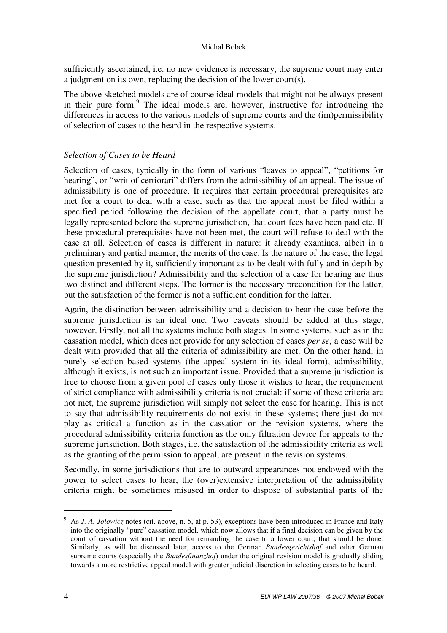sufficiently ascertained, i.e. no new evidence is necessary, the supreme court may enter a judgment on its own, replacing the decision of the lower court(s).

The above sketched models are of course ideal models that might not be always present in their pure form.<sup>9</sup> The ideal models are, however, instructive for introducing the differences in access to the various models of supreme courts and the (im)permissibility of selection of cases to the heard in the respective systems.

# *Selection of Cases to be Heard*

Selection of cases, typically in the form of various "leaves to appeal", "petitions for hearing", or "writ of certiorari" differs from the admissibility of an appeal. The issue of admissibility is one of procedure. It requires that certain procedural prerequisites are met for a court to deal with a case, such as that the appeal must be filed within a specified period following the decision of the appellate court, that a party must be legally represented before the supreme jurisdiction, that court fees have been paid etc. If these procedural prerequisites have not been met, the court will refuse to deal with the case at all. Selection of cases is different in nature: it already examines, albeit in a preliminary and partial manner, the merits of the case. Is the nature of the case, the legal question presented by it, sufficiently important as to be dealt with fully and in depth by the supreme jurisdiction? Admissibility and the selection of a case for hearing are thus two distinct and different steps. The former is the necessary precondition for the latter, but the satisfaction of the former is not a sufficient condition for the latter.

Again, the distinction between admissibility and a decision to hear the case before the supreme jurisdiction is an ideal one. Two caveats should be added at this stage, however. Firstly, not all the systems include both stages. In some systems, such as in the cassation model, which does not provide for any selection of cases *per se*, a case will be dealt with provided that all the criteria of admissibility are met. On the other hand, in purely selection based systems (the appeal system in its ideal form), admissibility, although it exists, is not such an important issue. Provided that a supreme jurisdiction is free to choose from a given pool of cases only those it wishes to hear, the requirement of strict compliance with admissibility criteria is not crucial: if some of these criteria are not met, the supreme jurisdiction will simply not select the case for hearing. This is not to say that admissibility requirements do not exist in these systems; there just do not play as critical a function as in the cassation or the revision systems, where the procedural admissibility criteria function as the only filtration device for appeals to the supreme jurisdiction. Both stages, i.e. the satisfaction of the admissibility criteria as well as the granting of the permission to appeal, are present in the revision systems.

Secondly, in some jurisdictions that are to outward appearances not endowed with the power to select cases to hear, the (over)extensive interpretation of the admissibility criteria might be sometimes misused in order to dispose of substantial parts of the

<sup>9</sup> As *J. A. Jolowicz* notes (cit. above, n. 5, at p. 53), exceptions have been introduced in France and Italy into the originally "pure" cassation model, which now allows that if a final decision can be given by the court of cassation without the need for remanding the case to a lower court, that should be done. Similarly, as will be discussed later, access to the German *Bundesgerichtshof* and other German supreme courts (especially the *Bundesfinanzhof*) under the original revision model is gradually sliding towards a more restrictive appeal model with greater judicial discretion in selecting cases to be heard.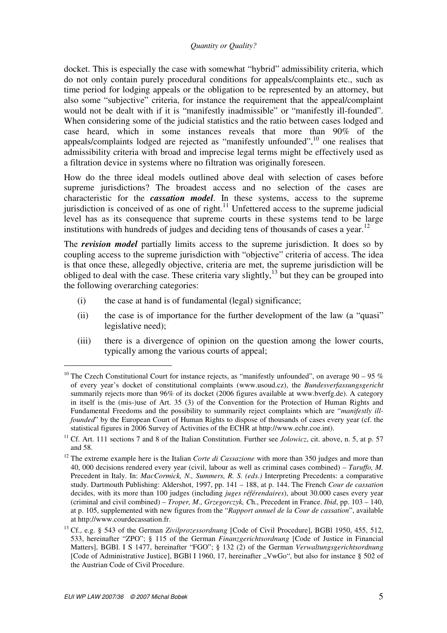docket. This is especially the case with somewhat "hybrid" admissibility criteria, which do not only contain purely procedural conditions for appeals/complaints etc., such as time period for lodging appeals or the obligation to be represented by an attorney, but also some "subjective" criteria, for instance the requirement that the appeal/complaint would not be dealt with if it is "manifestly inadmissible" or "manifestly ill-founded". When considering some of the judicial statistics and the ratio between cases lodged and case heard, which in some instances reveals that more than 90% of the appeals/complaints lodged are rejected as "manifestly unfounded",<sup>10</sup> one realises that admissibility criteria with broad and imprecise legal terms might be effectively used as a filtration device in systems where no filtration was originally foreseen.

How do the three ideal models outlined above deal with selection of cases before supreme jurisdictions? The broadest access and no selection of the cases are characteristic for the *cassation model*. In these systems, access to the supreme jurisdiction is conceived of as one of right.<sup>11</sup> Unfettered access to the supreme judicial level has as its consequence that supreme courts in these systems tend to be large institutions with hundreds of judges and deciding tens of thousands of cases a year.<sup>12</sup>

The *revision model* partially limits access to the supreme jurisdiction. It does so by coupling access to the supreme jurisdiction with "objective" criteria of access. The idea is that once these, allegedly objective, criteria are met, the supreme jurisdiction will be obliged to deal with the case. These criteria vary slightly,<sup>13</sup> but they can be grouped into the following overarching categories:

- (i) the case at hand is of fundamental (legal) significance;
- (ii) the case is of importance for the further development of the law (a "quasi" legislative need);
- (iii) there is a divergence of opinion on the question among the lower courts, typically among the various courts of appeal;

<sup>&</sup>lt;sup>10</sup> The Czech Constitutional Court for instance rejects, as "manifestly unfounded", on average 90 – 95 % of every year's docket of constitutional complaints (www.usoud.cz), the *Bundesverfassungsgericht* summarily rejects more than 96% of its docket (2006 figures available at www.bverfg.de). A category in itself is the (mis-)use of Art. 35 (3) of the Convention for the Protection of Human Rights and Fundamental Freedoms and the possibility to summarily reject complaints which are "*manifestly illfounded*" by the European Court of Human Rights to dispose of thousands of cases every year (cf. the statistical figures in 2006 Survey of Activities of the ECHR at http://www.echr.coe.int).

<sup>&</sup>lt;sup>11</sup> Cf. Art. 111 sections 7 and 8 of the Italian Constitution. Further see *Jolowicz*, cit. above, n. 5, at p. 57 and 58.

<sup>&</sup>lt;sup>12</sup> The extreme example here is the Italian *Corte di Cassazione* with more than 350 judges and more than 40, 000 decisions rendered every year (civil, labour as well as criminal cases combined) – *Taruffo, M.* Precedent in Italy. In: *MacCormick, N., Summers, R. S. (eds.)* Interpreting Precedents: a comparative study. Dartmouth Publishing: Aldershot, 1997, pp. 141 – 188, at p. 144. The French *Cour de cassation* decides, with its more than 100 judges (including *juges référendaires*), about 30.000 cases every year (criminal and civil combined) – *Troper, M., Grzegorczyk, C*h., Precedent in France. *Ibid*, pp. 103 – 140, at p. 105, supplemented with new figures from the "*Rapport annuel de la Cour de cassation*", available at http://www.courdecassation.fr.

<sup>13</sup> Cf., e.g. § 543 of the German *Zivilprozessordnung* [Code of Civil Procedure], BGBl 1950, 455, 512, 533, hereinafter "ZPO"; § 115 of the German *Finanzgerichtsordnung* [Code of Justice in Financial Matters], BGBl. I S 1477, hereinafter "FGO"; § 132 (2) of the German *Verwaltungsgerichtsordnung* [Code of Administrative Justice], BGBI I 1960, 17, hereinafter "VwGo", but also for instance § 502 of the Austrian Code of Civil Procedure.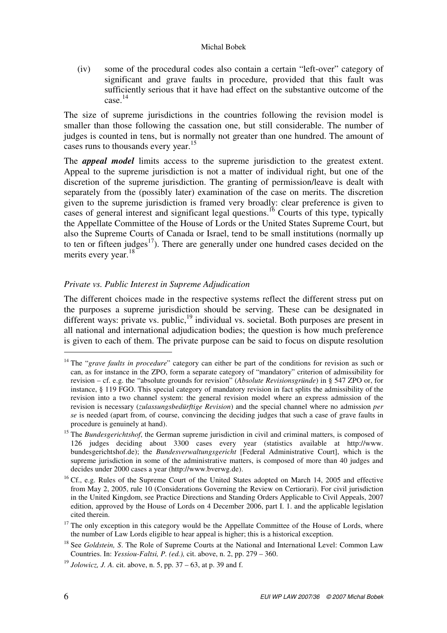(iv) some of the procedural codes also contain a certain "left-over" category of significant and grave faults in procedure, provided that this fault was sufficiently serious that it have had effect on the substantive outcome of the case. 14

The size of supreme jurisdictions in the countries following the revision model is smaller than those following the cassation one, but still considerable. The number of judges is counted in tens, but is normally not greater than one hundred. The amount of cases runs to thousands every year. $15$ 

The *appeal model* limits access to the supreme jurisdiction to the greatest extent. Appeal to the supreme jurisdiction is not a matter of individual right, but one of the discretion of the supreme jurisdiction. The granting of permission/leave is dealt with separately from the (possibly later) examination of the case on merits. The discretion given to the supreme jurisdiction is framed very broadly: clear preference is given to cases of general interest and significant legal questions.<sup>16</sup> Courts of this type, typically the Appellate Committee of the House of Lords or the United States Supreme Court, but also the Supreme Courts of Canada or Israel, tend to be small institutions (normally up to ten or fifteen judges $^{17}$ ). There are generally under one hundred cases decided on the merits every year.<sup>18</sup>

# *Private vs. Public Interest in Supreme Adjudication*

The different choices made in the respective systems reflect the different stress put on the purposes a supreme jurisdiction should be serving. These can be designated in different ways: private vs. public, $19$  individual vs. societal. Both purposes are present in all national and international adjudication bodies; the question is how much preference is given to each of them. The private purpose can be said to focus on dispute resolution

<sup>&</sup>lt;sup>14</sup> The "*grave faults in procedure*" category can either be part of the conditions for revision as such or can, as for instance in the ZPO, form a separate category of "mandatory" criterion of admissibility for revision – cf. e.g. the "absolute grounds for revision" (*Absolute Revisionsgründe*) in § 547 ZPO or, for instance, § 119 FGO. This special category of mandatory revision in fact splits the admissibility of the revision into a two channel system: the general revision model where an express admission of the revision is necessary (*zulassungsbedürftige Revision*) and the special channel where no admission *per se* is needed (apart from, of course, convincing the deciding judges that such a case of grave faults in procedure is genuinely at hand).

<sup>&</sup>lt;sup>15</sup> The *Bundesgerichtshof*, the German supreme jurisdiction in civil and criminal matters, is composed of 126 judges deciding about 3300 cases every year (statistics available at http://www. bundesgerichtshof.de); the *Bundesverwaltungsgericht* [Federal Administrative Court], which is the supreme jurisdiction in some of the administrative matters, is composed of more than 40 judges and decides under 2000 cases a year (http://www.bverwg.de).

<sup>&</sup>lt;sup>16</sup> Cf., e.g. Rules of the Supreme Court of the United States adopted on March 14, 2005 and effective from May 2, 2005, rule 10 (Considerations Governing the Review on Certiorari). For civil jurisdiction in the United Kingdom, see Practice Directions and Standing Orders Applicable to Civil Appeals, 2007 edition, approved by the House of Lords on 4 December 2006, part I. 1. and the applicable legislation cited therein.

 $17$  The only exception in this category would be the Appellate Committee of the House of Lords, where the number of Law Lords eligible to hear appeal is higher; this is a historical exception.

<sup>&</sup>lt;sup>18</sup> See *Goldstein, S.* The Role of Supreme Courts at the National and International Level: Common Law Countries. In: *Yessiou-Faltsi, P. (ed.),* cit. above, n. 2, pp. 279 – 360.

<sup>&</sup>lt;sup>19</sup> *Jolowicz, J. A.* cit. above, n. 5, pp.  $37 - 63$ , at p. 39 and f.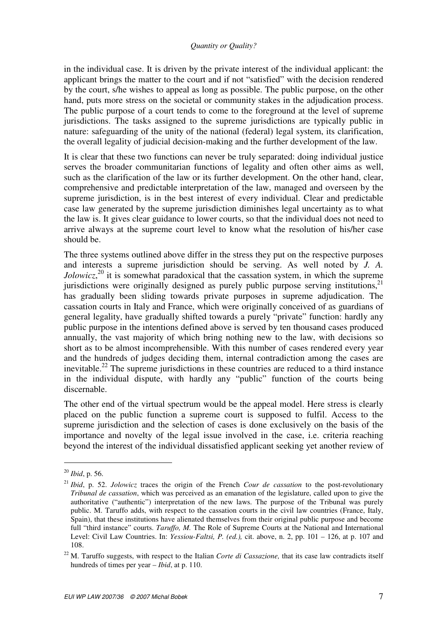in the individual case. It is driven by the private interest of the individual applicant: the applicant brings the matter to the court and if not "satisfied" with the decision rendered by the court, s/he wishes to appeal as long as possible. The public purpose, on the other hand, puts more stress on the societal or community stakes in the adjudication process. The public purpose of a court tends to come to the foreground at the level of supreme jurisdictions. The tasks assigned to the supreme jurisdictions are typically public in nature: safeguarding of the unity of the national (federal) legal system, its clarification, the overall legality of judicial decision-making and the further development of the law.

It is clear that these two functions can never be truly separated: doing individual justice serves the broader communitarian functions of legality and often other aims as well, such as the clarification of the law or its further development. On the other hand, clear, comprehensive and predictable interpretation of the law, managed and overseen by the supreme jurisdiction, is in the best interest of every individual. Clear and predictable case law generated by the supreme jurisdiction diminishes legal uncertainty as to what the law is. It gives clear guidance to lower courts, so that the individual does not need to arrive always at the supreme court level to know what the resolution of his/her case should be.

The three systems outlined above differ in the stress they put on the respective purposes and interests a supreme jurisdiction should be serving. As well noted by *J. A. Jolowicz*<sup>20</sup> it is somewhat paradoxical that the cassation system, in which the supreme jurisdictions were originally designed as purely public purpose serving institutions.<sup>21</sup> has gradually been sliding towards private purposes in supreme adjudication. The cassation courts in Italy and France, which were originally conceived of as guardians of general legality, have gradually shifted towards a purely "private" function: hardly any public purpose in the intentions defined above is served by ten thousand cases produced annually, the vast majority of which bring nothing new to the law, with decisions so short as to be almost incomprehensible. With this number of cases rendered every year and the hundreds of judges deciding them, internal contradiction among the cases are inevitable.<sup>22</sup> The supreme jurisdictions in these countries are reduced to a third instance in the individual dispute, with hardly any "public" function of the courts being discernable.

The other end of the virtual spectrum would be the appeal model. Here stress is clearly placed on the public function a supreme court is supposed to fulfil. Access to the supreme jurisdiction and the selection of cases is done exclusively on the basis of the importance and novelty of the legal issue involved in the case, i.e. criteria reaching beyond the interest of the individual dissatisfied applicant seeking yet another review of

<sup>20</sup> *Ibid*, p. 56.

<sup>21</sup> *Ibid*, p. 52. *Jolowicz* traces the origin of the French *Cour de cassation* to the post-revolutionary *Tribunal de cassation*, which was perceived as an emanation of the legislature, called upon to give the authoritative ("authentic") interpretation of the new laws. The purpose of the Tribunal was purely public. M. Taruffo adds, with respect to the cassation courts in the civil law countries (France, Italy, Spain), that these institutions have alienated themselves from their original public purpose and become full "third instance" courts. *Taruffo, M.* The Role of Supreme Courts at the National and International Level: Civil Law Countries. In: *Yessiou-Faltsi, P. (ed.),* cit. above, n. 2, pp. 101 – 126, at p. 107 and 108.

<sup>22</sup> M. Taruffo suggests, with respect to the Italian *Corte di Cassazione,* that its case law contradicts itself hundreds of times per year – *Ibid*, at p. 110.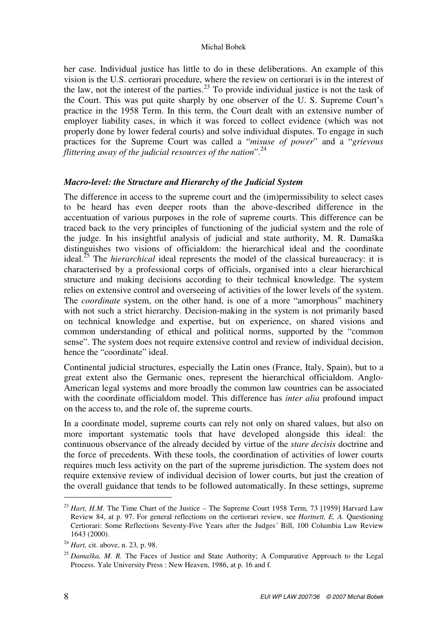her case. Individual justice has little to do in these deliberations. An example of this vision is the U.S. certiorari procedure, where the review on certiorari is in the interest of the law, not the interest of the parties.<sup>23</sup> To provide individual justice is not the task of the Court. This was put quite sharply by one observer of the U. S. Supreme Court's practice in the 1958 Term. In this term, the Court dealt with an extensive number of employer liability cases, in which it was forced to collect evidence (which was not properly done by lower federal courts) and solve individual disputes. To engage in such practices for the Supreme Court was called a "*misuse of power*" and a "*grievous flittering away of the judicial resources of the nation*".<sup>24</sup>

# *Macro-level: the Structure and Hierarchy of the Judicial System*

The difference in access to the supreme court and the (im)permissibility to select cases to be heard has even deeper roots than the above-described difference in the accentuation of various purposes in the role of supreme courts. This difference can be traced back to the very principles of functioning of the judicial system and the role of the judge. In his insightful analysis of judicial and state authority, M. R. Damaška distinguishes two visions of officialdom: the hierarchical ideal and the coordinate ideal.<sup>25</sup> The *hierarchical* ideal represents the model of the classical bureaucracy: it is characterised by a professional corps of officials, organised into a clear hierarchical structure and making decisions according to their technical knowledge. The system relies on extensive control and overseeing of activities of the lower levels of the system. The *coordinate* system, on the other hand, is one of a more "amorphous" machinery with not such a strict hierarchy. Decision-making in the system is not primarily based on technical knowledge and expertise, but on experience, on shared visions and common understanding of ethical and political norms, supported by the "common sense". The system does not require extensive control and review of individual decision, hence the "coordinate" ideal.

Continental judicial structures, especially the Latin ones (France, Italy, Spain), but to a great extent also the Germanic ones, represent the hierarchical officialdom. Anglo-American legal systems and more broadly the common law countries can be associated with the coordinate officialdom model. This difference has *inter alia* profound impact on the access to, and the role of, the supreme courts.

In a coordinate model, supreme courts can rely not only on shared values, but also on more important systematic tools that have developed alongside this ideal: the continuous observance of the already decided by virtue of the *stare decisis* doctrine and the force of precedents. With these tools, the coordination of activities of lower courts requires much less activity on the part of the supreme jurisdiction. The system does not require extensive review of individual decision of lower courts, but just the creation of the overall guidance that tends to be followed automatically. In these settings, supreme

<sup>&</sup>lt;sup>23</sup> *Hart, H.M.* The Time Chart of the Justice – The Supreme Court 1958 Term, 73 [1959] Harvard Law Review 84, at p. 97. For general reflections on the certiorari review, see *Hartnett, E. A.* Questioning Certiorari: Some Reflections Seventy-Five Years after the Judges´ Bill, 100 Columbia Law Review 1643 (2000).

<sup>24</sup> *Hart,* cit. above, n. 23*,* p. 98.

<sup>25</sup> *Damaška, M. R.* The Faces of Justice and State Authority; A Comparative Approach to the Legal Process. Yale University Press : New Heaven, 1986, at p. 16 and f.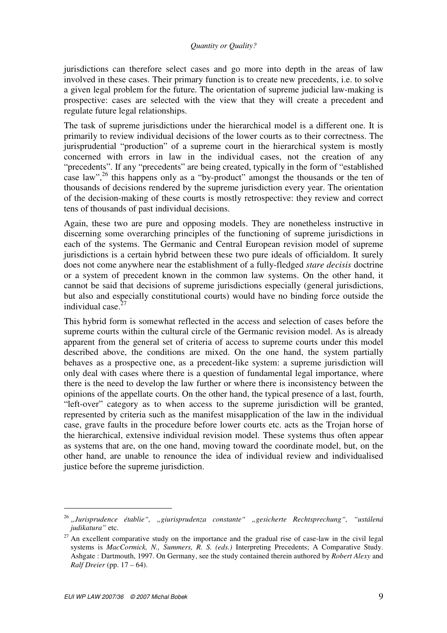jurisdictions can therefore select cases and go more into depth in the areas of law involved in these cases. Their primary function is to create new precedents, i.e. to solve a given legal problem for the future. The orientation of supreme judicial law-making is prospective: cases are selected with the view that they will create a precedent and regulate future legal relationships.

The task of supreme jurisdictions under the hierarchical model is a different one. It is primarily to review individual decisions of the lower courts as to their correctness. The jurisprudential "production" of a supreme court in the hierarchical system is mostly concerned with errors in law in the individual cases, not the creation of any "precedents". If any "precedents" are being created, typically in the form of "established case law",  $^{26}$  this happens only as a "by-product" amongst the thousands or the ten of thousands of decisions rendered by the supreme jurisdiction every year. The orientation of the decision-making of these courts is mostly retrospective: they review and correct tens of thousands of past individual decisions.

Again, these two are pure and opposing models. They are nonetheless instructive in discerning some overarching principles of the functioning of supreme jurisdictions in each of the systems. The Germanic and Central European revision model of supreme jurisdictions is a certain hybrid between these two pure ideals of officialdom. It surely does not come anywhere near the establishment of a fully-fledged *stare decisis* doctrine or a system of precedent known in the common law systems. On the other hand, it cannot be said that decisions of supreme jurisdictions especially (general jurisdictions, but also and especially constitutional courts) would have no binding force outside the individual case. $27$ 

This hybrid form is somewhat reflected in the access and selection of cases before the supreme courts within the cultural circle of the Germanic revision model. As is already apparent from the general set of criteria of access to supreme courts under this model described above, the conditions are mixed. On the one hand, the system partially behaves as a prospective one, as a precedent-like system: a supreme jurisdiction will only deal with cases where there is a question of fundamental legal importance, where there is the need to develop the law further or where there is inconsistency between the opinions of the appellate courts. On the other hand, the typical presence of a last, fourth, "left-over" category as to when access to the supreme jurisdiction will be granted, represented by criteria such as the manifest misapplication of the law in the individual case, grave faults in the procedure before lower courts etc. acts as the Trojan horse of the hierarchical, extensive individual revision model. These systems thus often appear as systems that are, on the one hand, moving toward the coordinate model, but, on the other hand, are unable to renounce the idea of individual review and individualised justice before the supreme jurisdiction.

<sup>26</sup> *"Jurisprudence établie", "giurisprudenza constante" "gesicherte Rechtsprechung", "ustálená judikatura"* etc.

 $27$  An excellent comparative study on the importance and the gradual rise of case-law in the civil legal systems is *MacCormick, N., Summers, R. S. (eds.)* Interpreting Precedents; A Comparative Study. Ashgate : Dartmouth, 1997. On Germany, see the study contained therein authored by *Robert Alexy* and *Ralf Dreier* (pp. 17 – 64).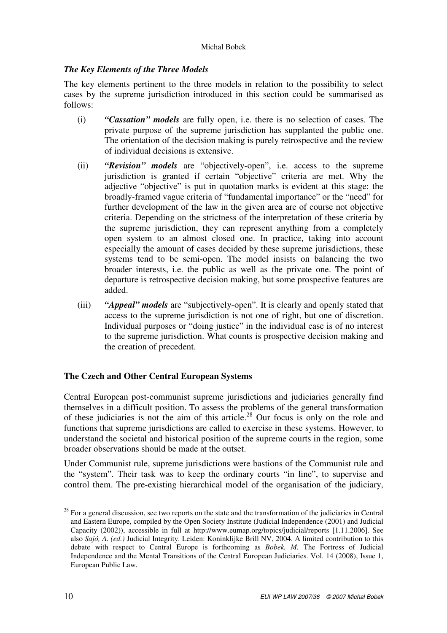# *The Key Elements of the Three Models*

The key elements pertinent to the three models in relation to the possibility to select cases by the supreme jurisdiction introduced in this section could be summarised as follows:

- (i) *"Cassation" models* are fully open, i.e. there is no selection of cases. The private purpose of the supreme jurisdiction has supplanted the public one. The orientation of the decision making is purely retrospective and the review of individual decisions is extensive.
- (ii) *"Revision" models* are "objectively-open", i.e. access to the supreme jurisdiction is granted if certain "objective" criteria are met. Why the adjective "objective" is put in quotation marks is evident at this stage: the broadly-framed vague criteria of "fundamental importance" or the "need" for further development of the law in the given area are of course not objective criteria. Depending on the strictness of the interpretation of these criteria by the supreme jurisdiction, they can represent anything from a completely open system to an almost closed one. In practice, taking into account especially the amount of cases decided by these supreme jurisdictions, these systems tend to be semi-open. The model insists on balancing the two broader interests, i.e. the public as well as the private one. The point of departure is retrospective decision making, but some prospective features are added.
- (iii) *"Appeal" models* are "subjectively-open". It is clearly and openly stated that access to the supreme jurisdiction is not one of right, but one of discretion. Individual purposes or "doing justice" in the individual case is of no interest to the supreme jurisdiction. What counts is prospective decision making and the creation of precedent.

# **The Czech and Other Central European Systems**

Central European post-communist supreme jurisdictions and judiciaries generally find themselves in a difficult position. To assess the problems of the general transformation of these judiciaries is not the aim of this article.<sup>28</sup> Our focus is only on the role and functions that supreme jurisdictions are called to exercise in these systems. However, to understand the societal and historical position of the supreme courts in the region, some broader observations should be made at the outset.

Under Communist rule, supreme jurisdictions were bastions of the Communist rule and the "system". Their task was to keep the ordinary courts "in line", to supervise and control them. The pre-existing hierarchical model of the organisation of the judiciary,

 $28$  For a general discussion, see two reports on the state and the transformation of the judiciaries in Central and Eastern Europe, compiled by the Open Society Institute (Judicial Independence (2001) and Judicial Capacity (2002)), accessible in full at http://www.eumap.org/topics/judicial/reports [1.11.2006]. See also *Sajó, A. (ed.)* Judicial Integrity. Leiden: Koninklijke Brill NV, 2004. A limited contribution to this debate with respect to Central Europe is forthcoming as *Bobek, M.* The Fortress of Judicial Independence and the Mental Transitions of the Central European Judiciaries. Vol. 14 (2008), Issue 1, European Public Law.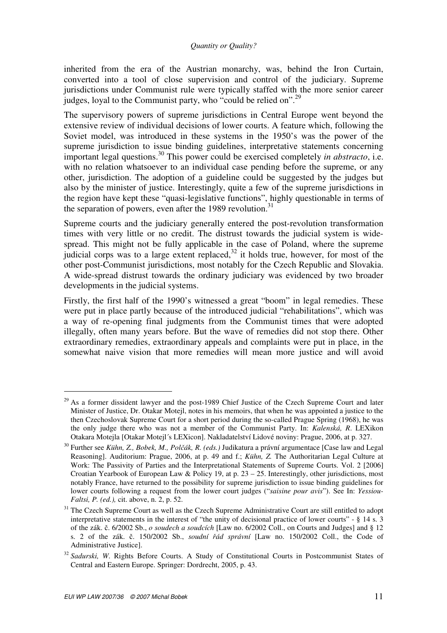inherited from the era of the Austrian monarchy, was, behind the Iron Curtain, converted into a tool of close supervision and control of the judiciary. Supreme jurisdictions under Communist rule were typically staffed with the more senior career judges, loyal to the Communist party, who "could be relied on".<sup>29</sup>

The supervisory powers of supreme jurisdictions in Central Europe went beyond the extensive review of individual decisions of lower courts. A feature which, following the Soviet model, was introduced in these systems in the 1950's was the power of the supreme jurisdiction to issue binding guidelines, interpretative statements concerning important legal questions.<sup>30</sup> This power could be exercised completely *in abstracto*, i.e. with no relation whatsoever to an individual case pending before the supreme, or any other, jurisdiction. The adoption of a guideline could be suggested by the judges but also by the minister of justice. Interestingly, quite a few of the supreme jurisdictions in the region have kept these "quasi-legislative functions", highly questionable in terms of the separation of powers, even after the 1989 revolution.<sup>31</sup>

Supreme courts and the judiciary generally entered the post-revolution transformation times with very little or no credit. The distrust towards the judicial system is widespread. This might not be fully applicable in the case of Poland, where the supreme judicial corps was to a large extent replaced,  $32$  it holds true, however, for most of the other post-Communist jurisdictions, most notably for the Czech Republic and Slovakia. A wide-spread distrust towards the ordinary judiciary was evidenced by two broader developments in the judicial systems.

Firstly, the first half of the 1990's witnessed a great "boom" in legal remedies. These were put in place partly because of the introduced judicial "rehabilitations", which was a way of re-opening final judgments from the Communist times that were adopted illegally, often many years before. But the wave of remedies did not stop there. Other extraordinary remedies, extraordinary appeals and complaints were put in place, in the somewhat naive vision that more remedies will mean more justice and will avoid

 $^{29}$  As a former dissident lawyer and the post-1989 Chief Justice of the Czech Supreme Court and later Minister of Justice, Dr. Otakar Motejl, notes in his memoirs, that when he was appointed a justice to the then Czechoslovak Supreme Court for a short period during the so-called Prague Spring (1968), he was the only judge there who was not a member of the Communist Party. In: *Kalenská, R*. LEXikon Otakara Motejla [Otakar Motejl´s LEXicon]. Nakladatelství Lidové noviny: Prague, 2006, at p. 327.

<sup>30</sup> Further see *Kühn, Z., Bobek, M., Pol*č*ák, R. (eds.)* Judikatura a právní argumentace [Case law and Legal Reasoning]. Auditorium: Prague, 2006, at p. 49 and f.; *Kühn, Z.* The Authoritarian Legal Culture at Work: The Passivity of Parties and the Interpretational Statements of Supreme Courts. Vol. 2 [2006] Croatian Yearbook of European Law & Policy 19, at p. 23 – 25. Interestingly, other jurisdictions, most notably France, have returned to the possibility for supreme jurisdiction to issue binding guidelines for lower courts following a request from the lower court judges ("*saisine pour avis*"). See In: *Yessiou-Faltsi, P. (ed.),* cit. above, n. 2, p. 52.

<sup>&</sup>lt;sup>31</sup> The Czech Supreme Court as well as the Czech Supreme Administrative Court are still entitled to adopt interpretative statements in the interest of "the unity of decisional practice of lower courts" - § 14 s. 3 of the zák. č. 6/2002 Sb., *o soudech a soudcích* [Law no. 6/2002 Coll., on Courts and Judges] and § 12 s. 2 of the zák. č. 150/2002 Sb., *soudní* ř*ád správní* [Law no. 150/2002 Coll., the Code of Administrative Justice].

<sup>&</sup>lt;sup>32</sup> Sadurski, W. Rights Before Courts. A Study of Constitutional Courts in Postcommunist States of Central and Eastern Europe. Springer: Dordrecht, 2005, p. 43.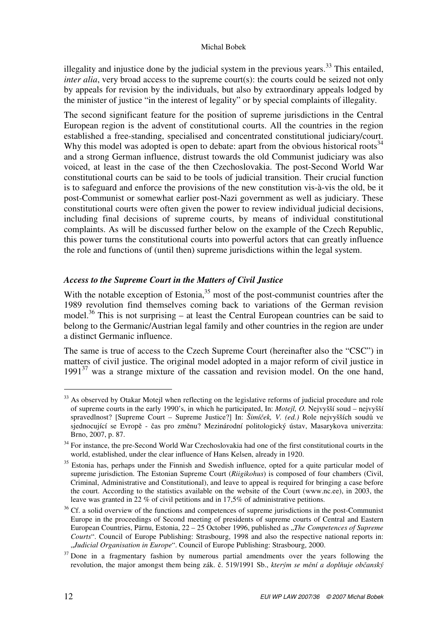illegality and injustice done by the judicial system in the previous years.<sup>33</sup> This entailed. *inter alia*, very broad access to the supreme court(s): the courts could be seized not only by appeals for revision by the individuals, but also by extraordinary appeals lodged by the minister of justice "in the interest of legality" or by special complaints of illegality.

The second significant feature for the position of supreme jurisdictions in the Central European region is the advent of constitutional courts. All the countries in the region established a free-standing, specialised and concentrated constitutional judiciary/court. Why this model was adopted is open to debate: apart from the obvious historical roots<sup>34</sup> and a strong German influence, distrust towards the old Communist judiciary was also voiced, at least in the case of the then Czechoslovakia. The post-Second World War constitutional courts can be said to be tools of judicial transition. Their crucial function is to safeguard and enforce the provisions of the new constitution vis-à-vis the old, be it post-Communist or somewhat earlier post-Nazi government as well as judiciary. These constitutional courts were often given the power to review individual judicial decisions, including final decisions of supreme courts, by means of individual constitutional complaints. As will be discussed further below on the example of the Czech Republic, this power turns the constitutional courts into powerful actors that can greatly influence the role and functions of (until then) supreme jurisdictions within the legal system.

# *Access to the Supreme Court in the Matters of Civil Justice*

With the notable exception of Estonia,  $35$  most of the post-communist countries after the 1989 revolution find themselves coming back to variations of the German revision model.<sup>36</sup> This is not surprising – at least the Central European countries can be said to belong to the Germanic/Austrian legal family and other countries in the region are under a distinct Germanic influence.

The same is true of access to the Czech Supreme Court (hereinafter also the "CSC") in matters of civil justice. The original model adopted in a major reform of civil justice in  $1991<sup>37</sup>$  was a strange mixture of the cassation and revision model. On the one hand,

<sup>&</sup>lt;sup>33</sup> As observed by Otakar Motejl when reflecting on the legislative reforms of judicial procedure and role of supreme courts in the early 1990's, in which he participated, In: *Motejl, O.* Nejvyšší soud – nejvyšší spravedlnost? [Supreme Court – Supreme Justice?] In: *Šimí*č*ek, V. (ed.)* Role nejvyšších soudů ve sjednocující se Evropě - čas pro změnu? Mezinárodní politologický ústav, Masarykova univerzita: Brno, 2007, p. 87.

<sup>&</sup>lt;sup>34</sup> For instance, the pre-Second World War Czechoslovakia had one of the first constitutional courts in the world, established, under the clear influence of Hans Kelsen, already in 1920.

<sup>&</sup>lt;sup>35</sup> Estonia has, perhaps under the Finnish and Swedish influence, opted for a quite particular model of supreme jurisdiction. The Estonian Supreme Court (*Riigikohus*) is composed of four chambers (Civil, Criminal, Administrative and Constitutional), and leave to appeal is required for bringing a case before the court. According to the statistics available on the website of the Court (www.nc.ee), in 2003, the leave was granted in 22 % of civil petitions and in 17,5% of administrative petitions.

<sup>&</sup>lt;sup>36</sup> Cf. a solid overview of the functions and competences of supreme jurisdictions in the post-Communist Europe in the proceedings of Second meeting of presidents of supreme courts of Central and Eastern European Countries, Pärnu, Estonia, 22 – 25 October 1996, published as "*The Competences of Supreme Courts*". Council of Europe Publishing: Strasbourg, 1998 and also the respective national reports in: "*Judicial Organisation in Europe*". Council of Europe Publishing: Strasbourg, 2000.

 $37$  Done in a fragmentary fashion by numerous partial amendments over the years following the revolution, the major amongst them being zák. č. 519/1991 Sb., *kterým se m*ě*ní a dopl*ň*uje ob*č*anský*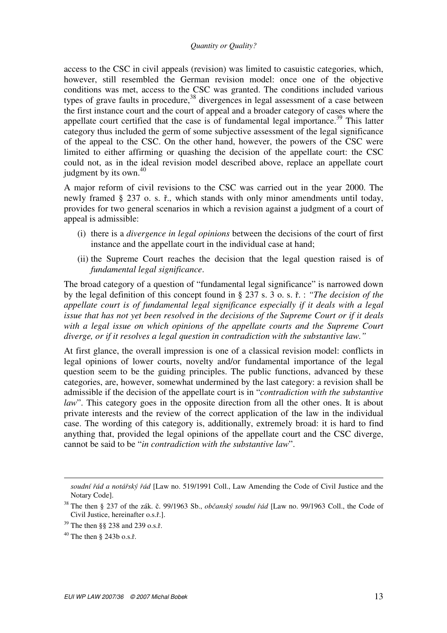access to the CSC in civil appeals (revision) was limited to casuistic categories, which, however, still resembled the German revision model: once one of the objective conditions was met, access to the CSC was granted. The conditions included various types of grave faults in procedure,  $38$  divergences in legal assessment of a case between the first instance court and the court of appeal and a broader category of cases where the appellate court certified that the case is of fundamental legal importance.<sup>39</sup> This latter category thus included the germ of some subjective assessment of the legal significance of the appeal to the CSC. On the other hand, however, the powers of the CSC were limited to either affirming or quashing the decision of the appellate court: the CSC could not, as in the ideal revision model described above, replace an appellate court judgment by its own.<sup>40</sup>

A major reform of civil revisions to the CSC was carried out in the year 2000. The newly framed § 237 o. s. ř., which stands with only minor amendments until today, provides for two general scenarios in which a revision against a judgment of a court of appeal is admissible:

- (i) there is a *divergence in legal opinions* between the decisions of the court of first instance and the appellate court in the individual case at hand;
- (ii) the Supreme Court reaches the decision that the legal question raised is of *fundamental legal significance*.

The broad category of a question of "fundamental legal significance" is narrowed down by the legal definition of this concept found in § 237 s. 3 o. s. ř. : *"The decision of the appellate court is of fundamental legal significance especially if it deals with a legal issue that has not yet been resolved in the decisions of the Supreme Court or if it deals with a legal issue on which opinions of the appellate courts and the Supreme Court diverge, or if it resolves a legal question in contradiction with the substantive law."*

At first glance, the overall impression is one of a classical revision model: conflicts in legal opinions of lower courts, novelty and/or fundamental importance of the legal question seem to be the guiding principles. The public functions, advanced by these categories, are, however, somewhat undermined by the last category: a revision shall be admissible if the decision of the appellate court is in "*contradiction with the substantive law*". This category goes in the opposite direction from all the other ones. It is about private interests and the review of the correct application of the law in the individual case. The wording of this category is, additionally, extremely broad: it is hard to find anything that, provided the legal opinions of the appellate court and the CSC diverge, cannot be said to be "*in contradiction with the substantive law*".

<u>.</u>

*soudní* ř*ád a notá*ř*ský* ř*ád* [Law no. 519/1991 Coll., Law Amending the Code of Civil Justice and the Notary Code].

<sup>38</sup> The then § 237 of the zák. č. 99/1963 Sb., *ob*č*anský soudní* ř*ád* [Law no. 99/1963 Coll., the Code of Civil Justice, hereinafter o.s.ř.].

<sup>39</sup> The then §§ 238 and 239 o.s.ř.

 $40$  The then  $\delta$  243b o.s.f.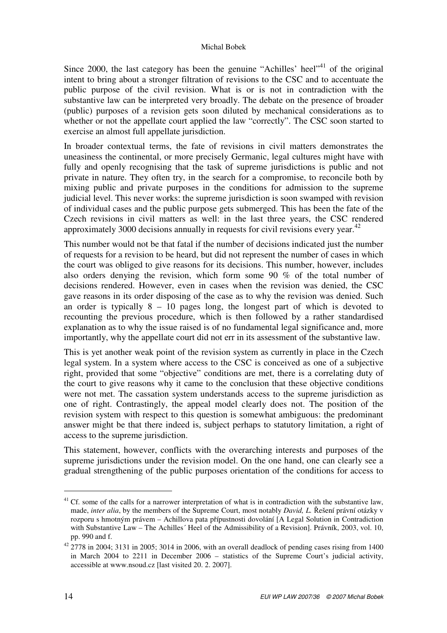Since 2000, the last category has been the genuine "Achilles' heel"<sup>41</sup> of the original intent to bring about a stronger filtration of revisions to the CSC and to accentuate the public purpose of the civil revision. What is or is not in contradiction with the substantive law can be interpreted very broadly. The debate on the presence of broader (public) purposes of a revision gets soon diluted by mechanical considerations as to whether or not the appellate court applied the law "correctly". The CSC soon started to exercise an almost full appellate jurisdiction.

In broader contextual terms, the fate of revisions in civil matters demonstrates the uneasiness the continental, or more precisely Germanic, legal cultures might have with fully and openly recognising that the task of supreme jurisdictions is public and not private in nature. They often try, in the search for a compromise, to reconcile both by mixing public and private purposes in the conditions for admission to the supreme judicial level. This never works: the supreme jurisdiction is soon swamped with revision of individual cases and the public purpose gets submerged. This has been the fate of the Czech revisions in civil matters as well: in the last three years, the CSC rendered approximately 3000 decisions annually in requests for civil revisions every year. $42$ 

This number would not be that fatal if the number of decisions indicated just the number of requests for a revision to be heard, but did not represent the number of cases in which the court was obliged to give reasons for its decisions. This number, however, includes also orders denying the revision, which form some 90 % of the total number of decisions rendered. However, even in cases when the revision was denied, the CSC gave reasons in its order disposing of the case as to why the revision was denied. Such an order is typically  $8 - 10$  pages long, the longest part of which is devoted to recounting the previous procedure, which is then followed by a rather standardised explanation as to why the issue raised is of no fundamental legal significance and, more importantly, why the appellate court did not err in its assessment of the substantive law.

This is yet another weak point of the revision system as currently in place in the Czech legal system. In a system where access to the CSC is conceived as one of a subjective right, provided that some "objective" conditions are met, there is a correlating duty of the court to give reasons why it came to the conclusion that these objective conditions were not met. The cassation system understands access to the supreme jurisdiction as one of right. Contrastingly, the appeal model clearly does not. The position of the revision system with respect to this question is somewhat ambiguous: the predominant answer might be that there indeed is, subject perhaps to statutory limitation, a right of access to the supreme jurisdiction.

This statement, however, conflicts with the overarching interests and purposes of the supreme jurisdictions under the revision model. On the one hand, one can clearly see a gradual strengthening of the public purposes orientation of the conditions for access to

 $41$  Cf. some of the calls for a narrower interpretation of what is in contradiction with the substantive law, made, *inter alia*, by the members of the Supreme Court, most notably *David, L.* Řešení právní otázky v rozporu s hmotným právem – Achillova pata přípustnosti dovolání [A Legal Solution in Contradiction with Substantive Law – The Achilles´ Heel of the Admissibility of a Revision]. Právník, 2003, vol. 10, pp. 990 and f.

<sup>42</sup> 2778 in 2004; 3131 in 2005; 3014 in 2006, with an overall deadlock of pending cases rising from 1400 in March 2004 to 2211 in December 2006 – statistics of the Supreme Court's judicial activity, accessible at www.nsoud.cz [last visited 20. 2. 2007].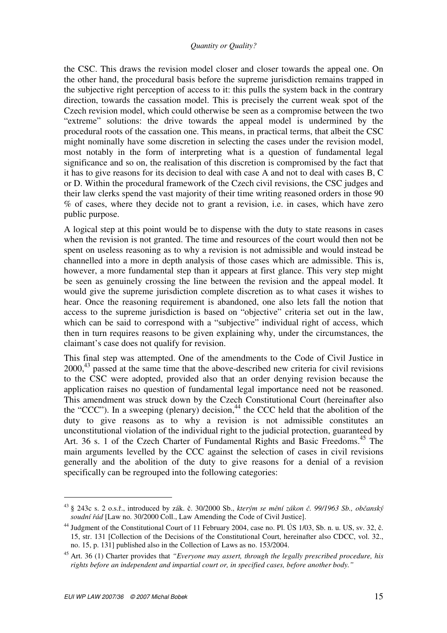the CSC. This draws the revision model closer and closer towards the appeal one. On the other hand, the procedural basis before the supreme jurisdiction remains trapped in the subjective right perception of access to it: this pulls the system back in the contrary direction, towards the cassation model. This is precisely the current weak spot of the Czech revision model, which could otherwise be seen as a compromise between the two "extreme" solutions: the drive towards the appeal model is undermined by the procedural roots of the cassation one. This means, in practical terms, that albeit the CSC might nominally have some discretion in selecting the cases under the revision model, most notably in the form of interpreting what is a question of fundamental legal significance and so on, the realisation of this discretion is compromised by the fact that it has to give reasons for its decision to deal with case A and not to deal with cases B, C or D. Within the procedural framework of the Czech civil revisions, the CSC judges and their law clerks spend the vast majority of their time writing reasoned orders in those 90 % of cases, where they decide not to grant a revision, i.e. in cases, which have zero public purpose.

A logical step at this point would be to dispense with the duty to state reasons in cases when the revision is not granted. The time and resources of the court would then not be spent on useless reasoning as to why a revision is not admissible and would instead be channelled into a more in depth analysis of those cases which are admissible. This is, however, a more fundamental step than it appears at first glance. This very step might be seen as genuinely crossing the line between the revision and the appeal model. It would give the supreme jurisdiction complete discretion as to what cases it wishes to hear. Once the reasoning requirement is abandoned, one also lets fall the notion that access to the supreme jurisdiction is based on "objective" criteria set out in the law, which can be said to correspond with a "subjective" individual right of access, which then in turn requires reasons to be given explaining why, under the circumstances, the claimant's case does not qualify for revision.

This final step was attempted. One of the amendments to the Code of Civil Justice in  $2000$ ,<sup>43</sup> passed at the same time that the above-described new criteria for civil revisions to the CSC were adopted, provided also that an order denying revision because the application raises no question of fundamental legal importance need not be reasoned. This amendment was struck down by the Czech Constitutional Court (hereinafter also the "CCC"). In a sweeping (plenary) decision,<sup>44</sup> the CCC held that the abolition of the duty to give reasons as to why a revision is not admissible constitutes an unconstitutional violation of the individual right to the judicial protection, guaranteed by Art. 36 s. 1 of the Czech Charter of Fundamental Rights and Basic Freedoms.<sup>45</sup> The main arguments levelled by the CCC against the selection of cases in civil revisions generally and the abolition of the duty to give reasons for a denial of a revision specifically can be regrouped into the following categories:

<sup>43</sup> § 243c s. 2 o.s.ř., introduced by zák. č. 30/2000 Sb., *kterým se m*ě*ní zákon* č*. 99/1963 Sb., ob*č*anský soudní* ř*ád* [Law no. 30/2000 Coll., Law Amending the Code of Civil Justice].

<sup>44</sup> Judgment of the Constitutional Court of 11 February 2004, case no. Pl. ÚS 1/03, Sb. n. u. US, sv. 32, č. 15, str. 131 [Collection of the Decisions of the Constitutional Court, hereinafter also CDCC, vol. 32., no. 15, p. 131] published also in the Collection of Laws as no. 153/2004.

<sup>45</sup> Art. 36 (1) Charter provides that *"Everyone may assert, through the legally prescribed procedure, his rights before an independent and impartial court or, in specified cases, before another body."*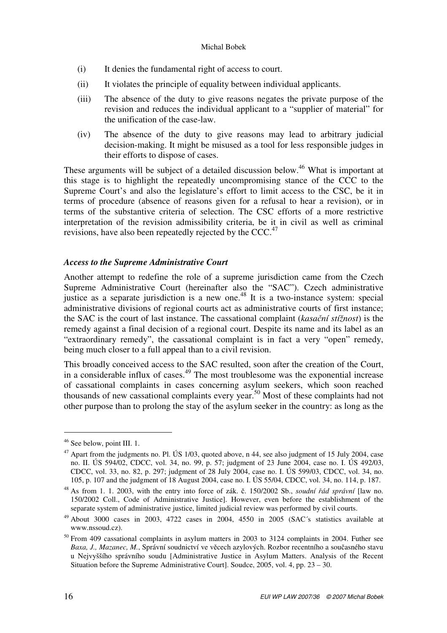- (i) It denies the fundamental right of access to court.
- (ii) It violates the principle of equality between individual applicants.
- (iii) The absence of the duty to give reasons negates the private purpose of the revision and reduces the individual applicant to a "supplier of material" for the unification of the case-law.
- (iv) The absence of the duty to give reasons may lead to arbitrary judicial decision-making. It might be misused as a tool for less responsible judges in their efforts to dispose of cases.

These arguments will be subject of a detailed discussion below.<sup>46</sup> What is important at this stage is to highlight the repeatedly uncompromising stance of the CCC to the Supreme Court's and also the legislature's effort to limit access to the CSC, be it in terms of procedure (absence of reasons given for a refusal to hear a revision), or in terms of the substantive criteria of selection. The CSC efforts of a more restrictive interpretation of the revision admissibility criteria, be it in civil as well as criminal revisions, have also been repeatedly rejected by the CCC. $47$ 

# *Access to the Supreme Administrative Court*

Another attempt to redefine the role of a supreme jurisdiction came from the Czech Supreme Administrative Court (hereinafter also the "SAC"). Czech administrative justice as a separate jurisdiction is a new one.<sup>48</sup> It is a two-instance system: special administrative divisions of regional courts act as administrative courts of first instance; the SAC is the court of last instance. The cassational complaint (*kasa*č*ní stížnost*) is the remedy against a final decision of a regional court. Despite its name and its label as an "extraordinary remedy", the cassational complaint is in fact a very "open" remedy, being much closer to a full appeal than to a civil revision.

This broadly conceived access to the SAC resulted, soon after the creation of the Court, in a considerable influx of cases.<sup>49</sup> The most troublesome was the exponential increase of cassational complaints in cases concerning asylum seekers, which soon reached thousands of new cassational complaints every year.<sup>50</sup> Most of these complaints had not other purpose than to prolong the stay of the asylum seeker in the country: as long as the

<sup>46</sup> See below, point III. 1.

<sup>&</sup>lt;sup>47</sup> Apart from the judgments no. Pl. ÚS 1/03, quoted above, n 44, see also judgment of 15 July 2004, case no. II. ÚS 594/02, CDCC, vol. 34, no. 99, p. 57; judgment of 23 June 2004, case no. I. ÚS 492/03, CDCC, vol. 33, no. 82, p. 297; judgment of 28 July 2004, case no. I. ÚS 599/03, CDCC, vol. 34, no. 105, p. 107 and the judgment of 18 August 2004, case no. I. ÚS 55/04, CDCC, vol. 34, no. 114, p. 187.

<sup>48</sup> As from 1. 1. 2003, with the entry into force of zák. č. 150/2002 Sb., *soudní* ř*ád správní* [law no. 150/2002 Coll., Code of Administrative Justice]. However, even before the establishment of the separate system of administrative justice, limited judicial review was performed by civil courts.

<sup>49</sup> About 3000 cases in 2003, 4722 cases in 2004, 4550 in 2005 (SAC´s statistics available at www.nssoud.cz).

 $50$  From 409 cassational complaints in asylum matters in 2003 to 3124 complaints in 2004. Futher see *Baxa, J., Mazanec, M.*, Správní soudnictví ve věcech azylových. Rozbor recentního a současného stavu u Nejvyššího správního soudu [Administrative Justice in Asylum Matters. Analysis of the Recent Situation before the Supreme Administrative Court]. Soudce, 2005, vol. 4, pp. 23 – 30.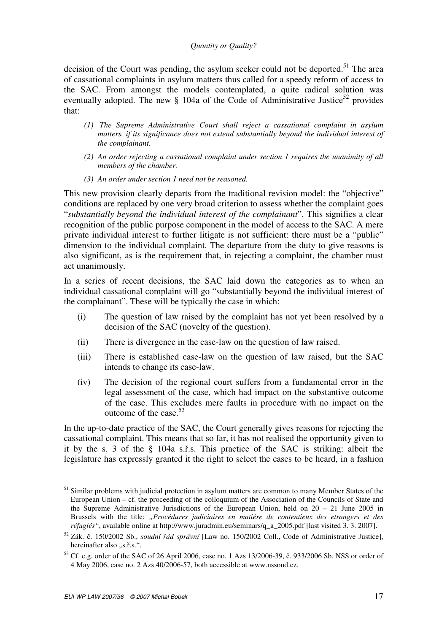decision of the Court was pending, the asylum seeker could not be deported.<sup>51</sup> The area of cassational complaints in asylum matters thus called for a speedy reform of access to the SAC. From amongst the models contemplated, a quite radical solution was eventually adopted. The new  $\S$  104a of the Code of Administrative Justice<sup>52</sup> provides that:

- *(1) The Supreme Administrative Court shall reject a cassational complaint in asylum matters, if its significance does not extend substantially beyond the individual interest of the complainant.*
- *(2) An order rejecting a cassational complaint under section 1 requires the unanimity of all members of the chamber.*
- *(3) An order under section 1 need not be reasoned.*

This new provision clearly departs from the traditional revision model: the "objective" conditions are replaced by one very broad criterion to assess whether the complaint goes "*substantially beyond the individual interest of the complainant*". This signifies a clear recognition of the public purpose component in the model of access to the SAC. A mere private individual interest to further litigate is not sufficient: there must be a "public" dimension to the individual complaint. The departure from the duty to give reasons is also significant, as is the requirement that, in rejecting a complaint, the chamber must act unanimously.

In a series of recent decisions, the SAC laid down the categories as to when an individual cassational complaint will go "substantially beyond the individual interest of the complainant". These will be typically the case in which:

- (i) The question of law raised by the complaint has not yet been resolved by a decision of the SAC (novelty of the question).
- (ii) There is divergence in the case-law on the question of law raised.
- (iii) There is established case-law on the question of law raised, but the SAC intends to change its case-law.
- (iv) The decision of the regional court suffers from a fundamental error in the legal assessment of the case, which had impact on the substantive outcome of the case. This excludes mere faults in procedure with no impact on the outcome of the case.<sup>53</sup>

In the up-to-date practice of the SAC, the Court generally gives reasons for rejecting the cassational complaint. This means that so far, it has not realised the opportunity given to it by the s. 3 of the § 104a s.ř.s. This practice of the SAC is striking: albeit the legislature has expressly granted it the right to select the cases to be heard, in a fashion

<sup>&</sup>lt;sup>51</sup> Similar problems with judicial protection in asylum matters are common to many Member States of the European Union – cf. the proceeding of the colloquium of the Association of the Councils of State and the Supreme Administrative Jurisdictions of the European Union, held on 20 – 21 June 2005 in Brussels with the title: *"Procédures judiciaires en matiére de contentieux des etrangers et des réfugiés"*, available online at http://www.juradmin.eu/seminars/q\_a\_2005.pdf [last visited 3. 3. 2007].

<sup>52</sup> Zák. č. 150/2002 Sb., *soudní* ř*ád správní* [Law no. 150/2002 Coll., Code of Administrative Justice], hereinafter also "s.ř.s.".

<sup>53</sup> Cf. e.g. order of the SAC of 26 April 2006, case no. 1 Azs 13/2006-39, č. 933/2006 Sb. NSS or order of 4 May 2006, case no. 2 Azs 40/2006-57, both accessible at www.nssoud.cz.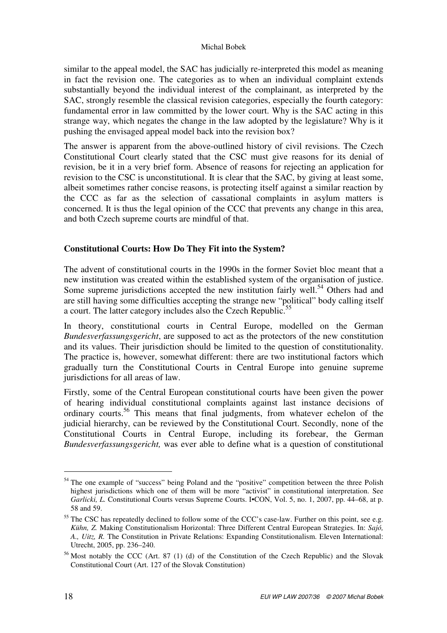similar to the appeal model, the SAC has judicially re-interpreted this model as meaning in fact the revision one. The categories as to when an individual complaint extends substantially beyond the individual interest of the complainant, as interpreted by the SAC, strongly resemble the classical revision categories, especially the fourth category: fundamental error in law committed by the lower court. Why is the SAC acting in this strange way, which negates the change in the law adopted by the legislature? Why is it pushing the envisaged appeal model back into the revision box?

The answer is apparent from the above-outlined history of civil revisions. The Czech Constitutional Court clearly stated that the CSC must give reasons for its denial of revision, be it in a very brief form. Absence of reasons for rejecting an application for revision to the CSC is unconstitutional. It is clear that the SAC, by giving at least some, albeit sometimes rather concise reasons, is protecting itself against a similar reaction by the CCC as far as the selection of cassational complaints in asylum matters is concerned. It is thus the legal opinion of the CCC that prevents any change in this area, and both Czech supreme courts are mindful of that.

# **Constitutional Courts: How Do They Fit into the System?**

The advent of constitutional courts in the 1990s in the former Soviet bloc meant that a new institution was created within the established system of the organisation of justice. Some supreme jurisdictions accepted the new institution fairly well.<sup>54</sup> Others had and are still having some difficulties accepting the strange new "political" body calling itself a court. The latter category includes also the Czech Republic.<sup>55</sup>

In theory, constitutional courts in Central Europe, modelled on the German *Bundesverfassungsgericht*, are supposed to act as the protectors of the new constitution and its values. Their jurisdiction should be limited to the question of constitutionality. The practice is, however, somewhat different: there are two institutional factors which gradually turn the Constitutional Courts in Central Europe into genuine supreme jurisdictions for all areas of law.

Firstly, some of the Central European constitutional courts have been given the power of hearing individual constitutional complaints against last instance decisions of ordinary courts.<sup>56</sup> This means that final judgments, from whatever echelon of the judicial hierarchy, can be reviewed by the Constitutional Court. Secondly, none of the Constitutional Courts in Central Europe, including its forebear, the German *Bundesverfassungsgericht,* was ever able to define what is a question of constitutional

<sup>&</sup>lt;sup>54</sup> The one example of "success" being Poland and the "positive" competition between the three Polish highest jurisdictions which one of them will be more "activist" in constitutional interpretation. See *Garlicki, L.* Constitutional Courts versus Supreme Courts. I•CON, Vol. 5, no. 1, 2007, pp. 44–68, at p. 58 and 59.

<sup>&</sup>lt;sup>55</sup> The CSC has repeatedly declined to follow some of the CCC's case-law. Further on this point, see e.g. *Kühn, Z.* Making Constitutionalism Horizontal: Three Different Central European Strategies. In: *Sajó, A., Uitz, R.* The Constitution in Private Relations: Expanding Constitutionalism. Eleven International: Utrecht, 2005, pp. 236–240.

<sup>&</sup>lt;sup>56</sup> Most notably the CCC (Art. 87 (1) (d) of the Constitution of the Czech Republic) and the Slovak Constitutional Court (Art. 127 of the Slovak Constitution)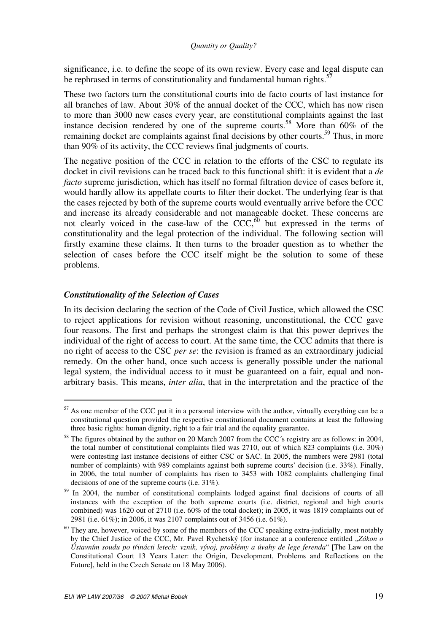significance, i.e. to define the scope of its own review. Every case and legal dispute can be rephrased in terms of constitutionality and fundamental human rights.<sup>5</sup>

These two factors turn the constitutional courts into de facto courts of last instance for all branches of law. About 30% of the annual docket of the CCC, which has now risen to more than 3000 new cases every year, are constitutional complaints against the last instance decision rendered by one of the supreme courts.<sup>58</sup> More than  $60\%$  of the remaining docket are complaints against final decisions by other courts.<sup>59</sup> Thus, in more than 90% of its activity, the CCC reviews final judgments of courts.

The negative position of the CCC in relation to the efforts of the CSC to regulate its docket in civil revisions can be traced back to this functional shift: it is evident that a *de facto* supreme jurisdiction, which has itself no formal filtration device of cases before it, would hardly allow its appellate courts to filter their docket. The underlying fear is that the cases rejected by both of the supreme courts would eventually arrive before the CCC and increase its already considerable and not manageable docket. These concerns are not clearly voiced in the case-law of the CCC, $60$  but expressed in the terms of constitutionality and the legal protection of the individual. The following section will firstly examine these claims. It then turns to the broader question as to whether the selection of cases before the CCC itself might be the solution to some of these problems.

# *Constitutionality of the Selection of Cases*

 $\overline{a}$ 

In its decision declaring the section of the Code of Civil Justice, which allowed the CSC to reject applications for revision without reasoning, unconstitutional, the CCC gave four reasons. The first and perhaps the strongest claim is that this power deprives the individual of the right of access to court. At the same time, the CCC admits that there is no right of access to the CSC *per se*: the revision is framed as an extraordinary judicial remedy. On the other hand, once such access is generally possible under the national legal system, the individual access to it must be guaranteed on a fair, equal and nonarbitrary basis. This means, *inter alia*, that in the interpretation and the practice of the

 $57$  As one member of the CCC put it in a personal interview with the author, virtually everything can be a constitutional question provided the respective constitutional document contains at least the following three basic rights: human dignity, right to a fair trial and the equality guarantee.

<sup>&</sup>lt;sup>58</sup> The figures obtained by the author on 20 March 2007 from the CCC's registry are as follows: in 2004, the total number of constitutional complaints filed was 2710, out of which 823 complaints (i.e. 30%) were contesting last instance decisions of either CSC or SAC. In 2005, the numbers were 2981 (total number of complaints) with 989 complaints against both supreme courts' decision (i.e. 33%). Finally, in 2006, the total number of complaints has risen to 3453 with 1082 complaints challenging final decisions of one of the supreme courts (i.e. 31%).

<sup>59</sup> In 2004, the number of constitutional complaints lodged against final decisions of courts of all instances with the exception of the both supreme courts (i.e. district, regional and high courts combined) was 1620 out of 2710 (i.e. 60% of the total docket); in 2005, it was 1819 complaints out of 2981 (i.e. 61%); in 2006, it was 2107 complaints out of 3456 (i.e. 61%).

 $60$  They are, however, voiced by some of the members of the CCC speaking extra-judicially, most notably by the Chief Justice of the CCC, Mr. Pavel Rychetský (for instance at a conference entitled *"Zákon o Ústavním soudu po t*ř*inácti letech: vznik, vývoj, problémy a úvahy de lege ferenda*" [The Law on the Constitutional Court 13 Years Later: the Origin, Development, Problems and Reflections on the Future], held in the Czech Senate on 18 May 2006).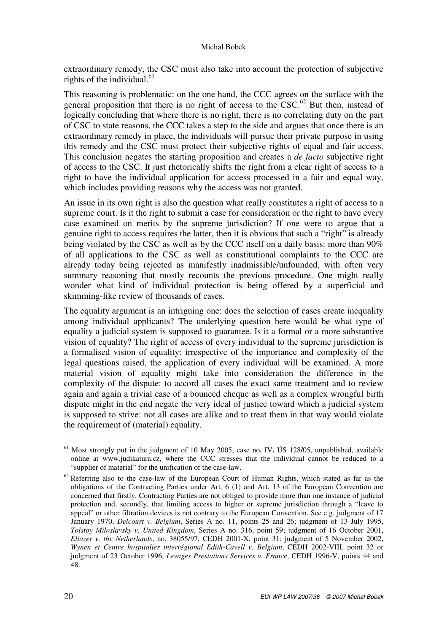extraordinary remedy, the CSC must also take into account the protection of subjective rights of the individual. $61$ 

This reasoning is problematic: on the one hand, the CCC agrees on the surface with the general proposition that there is no right of access to the  $CSC<sup>62</sup>$  But then, instead of logically concluding that where there is no right, there is no correlating duty on the part of CSC to state reasons, the CCC takes a step to the side and argues that once there is an extraordinary remedy in place, the individuals will pursue their private purpose in using this remedy and the CSC must protect their subjective rights of equal and fair access. This conclusion negates the starting proposition and creates a *de facto* subjective right of access to the CSC. It just rhetorically shifts the right from a clear right of access to a right to have the individual application for access processed in a fair and equal way, which includes providing reasons why the access was not granted.

An issue in its own right is also the question what really constitutes a right of access to a supreme court. Is it the right to submit a case for consideration or the right to have every case examined on merits by the supreme jurisdiction? If one were to argue that a genuine right to access requires the latter, then it is obvious that such a "right" is already being violated by the CSC as well as by the CCC itself on a daily basis: more than 90% of all applications to the CSC as well as constitutional complaints to the CCC are already today being rejected as manifestly inadmissible/unfounded, with often very summary reasoning that mostly recounts the previous procedure. One might really wonder what kind of individual protection is being offered by a superficial and skimming-like review of thousands of cases.

The equality argument is an intriguing one: does the selection of cases create inequality among individual applicants? The underlying question here would be what type of equality a judicial system is supposed to guarantee. Is it a formal or a more substantive vision of equality? The right of access of every individual to the supreme jurisdiction is a formalised vision of equality: irrespective of the importance and complexity of the legal questions raised, the application of every individual will be examined. A more material vision of equality might take into consideration the difference in the complexity of the dispute: to accord all cases the exact same treatment and to review again and again a trivial case of a bounced cheque as well as a complex wrongful birth dispute might in the end negate the very ideal of justice toward which a judicial system is supposed to strive: not all cases are alike and to treat them in that way would violate the requirement of (material) equality.

<sup>61</sup> Most strongly put in the judgment of 10 May 2005, case no**.** IV**.** ÚS 128**/**05, unpublished, available online at www.judikatura.cz, where the CCC stresses that the individual cannot be reduced to a "supplier of material" for the unification of the case-law.

 $62$  Referring also to the case-law of the European Court of Human Rights, which stated as far as the obligations of the Contracting Parties under Art. 6 (1) and Art. 13 of the European Convention are concerned that firstly, Contracting Parties are not obliged to provide more than one instance of judicial protection and, secondly, that limiting access to higher or supreme jurisdiction through a "leave to appeal" or other filtration devices is not contrary to the European Convention. See e.g. judgment of 17 January 1970, *Delcourt v. Belgium*, Series A no. 11, points 25 and 26; judgment of 13 July 1995, *Tolstoy Miloslavsky v. United Kingdom*, Series A no. 316, point 59; judgment of 16 October 2001, *Eliazer v. the Netherlands*, no. 38055/97, CEDH 2001-X, point 31; judgment of 5 November 2002, *Wynen et Centre hospitalier interrégional Edith-Cavell v. Belgium*, CEDH 2002-VIII, point 32 or judgment of 23 October 1996, *Levages Prestations Services v. France*, CEDH 1996-V, points 44 and 48.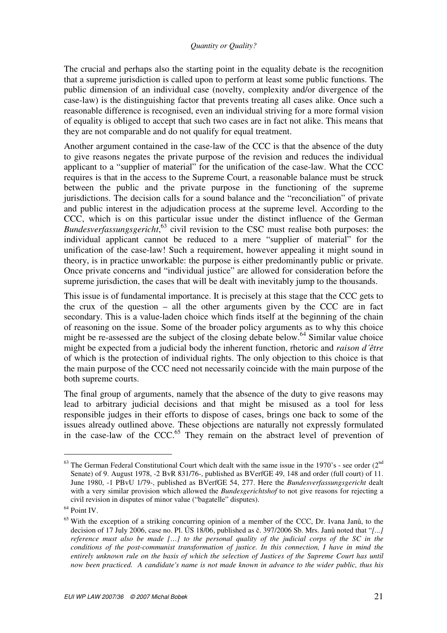The crucial and perhaps also the starting point in the equality debate is the recognition that a supreme jurisdiction is called upon to perform at least some public functions. The public dimension of an individual case (novelty, complexity and/or divergence of the case-law) is the distinguishing factor that prevents treating all cases alike. Once such a reasonable difference is recognised, even an individual striving for a more formal vision of equality is obliged to accept that such two cases are in fact not alike. This means that they are not comparable and do not qualify for equal treatment.

Another argument contained in the case-law of the CCC is that the absence of the duty to give reasons negates the private purpose of the revision and reduces the individual applicant to a "supplier of material" for the unification of the case-law. What the CCC requires is that in the access to the Supreme Court, a reasonable balance must be struck between the public and the private purpose in the functioning of the supreme jurisdictions. The decision calls for a sound balance and the "reconciliation" of private and public interest in the adjudication process at the supreme level. According to the CCC, which is on this particular issue under the distinct influence of the German *Bundesverfassungsgericht*, <sup>63</sup> civil revision to the CSC must realise both purposes: the individual applicant cannot be reduced to a mere "supplier of material" for the unification of the case-law! Such a requirement, however appealing it might sound in theory, is in practice unworkable: the purpose is either predominantly public or private. Once private concerns and "individual justice" are allowed for consideration before the supreme jurisdiction, the cases that will be dealt with inevitably jump to the thousands.

This issue is of fundamental importance. It is precisely at this stage that the CCC gets to the crux of the question – all the other arguments given by the CCC are in fact secondary. This is a value-laden choice which finds itself at the beginning of the chain of reasoning on the issue. Some of the broader policy arguments as to why this choice might be re-assessed are the subject of the closing debate below.<sup>64</sup> Similar value choice might be expected from a judicial body the inherent function, rhetoric and *raison d´être* of which is the protection of individual rights. The only objection to this choice is that the main purpose of the CCC need not necessarily coincide with the main purpose of the both supreme courts.

The final group of arguments, namely that the absence of the duty to give reasons may lead to arbitrary judicial decisions and that might be misused as a tool for less responsible judges in their efforts to dispose of cases, brings one back to some of the issues already outlined above. These objections are naturally not expressly formulated in the case-law of the CCC. $^{65}$  They remain on the abstract level of prevention of

 $63$  The German Federal Constitutional Court which dealt with the same issue in the 1970's - see order ( $2<sup>nd</sup>$ Senate) of 9. August 1978, -2 BvR 831/76-, published as BVerfGE 49, 148 and order (full court) of 11. June 1980, -1 PBvU 1/79-, published as BVerfGE 54, 277. Here the *Bundesverfassungsgericht* dealt with a very similar provision which allowed the *Bundesgerichtshof* to not give reasons for rejecting a civil revision in disputes of minor value ("bagatelle" disputes).

<sup>&</sup>lt;sup>64</sup> Point IV.

<sup>&</sup>lt;sup>65</sup> With the exception of a striking concurring opinion of a member of the CCC, Dr. Ivana Janů, to the decision of 17 July 2006, case no. Pl. ÚS 18/06, published as č. 397/2006 Sb. Mrs. Janů noted that "*[...] reference must also be made […] to the personal quality of the judicial corps of the SC in the conditions of the post-communist transformation of justice. In this connection, I have in mind the entirely unknown rule on the basis of which the selection of Justices of the Supreme Court has until now been practiced. A candidate's name is not made known in advance to the wider public, thus his*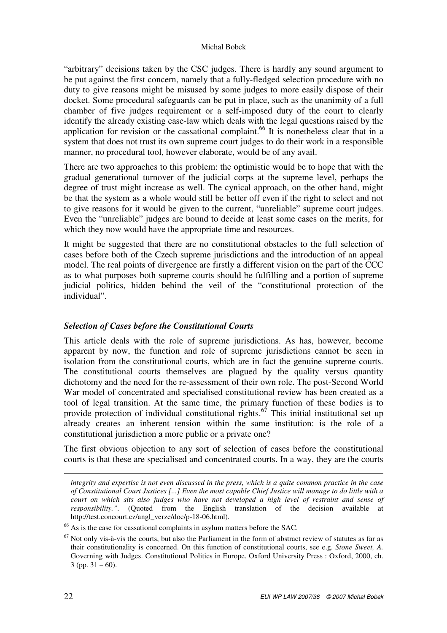"arbitrary" decisions taken by the CSC judges. There is hardly any sound argument to be put against the first concern, namely that a fully-fledged selection procedure with no duty to give reasons might be misused by some judges to more easily dispose of their docket. Some procedural safeguards can be put in place, such as the unanimity of a full chamber of five judges requirement or a self-imposed duty of the court to clearly identify the already existing case-law which deals with the legal questions raised by the application for revision or the cassational complaint.<sup>66</sup> It is nonetheless clear that in a system that does not trust its own supreme court judges to do their work in a responsible manner, no procedural tool, however elaborate, would be of any avail.

There are two approaches to this problem: the optimistic would be to hope that with the gradual generational turnover of the judicial corps at the supreme level, perhaps the degree of trust might increase as well. The cynical approach, on the other hand, might be that the system as a whole would still be better off even if the right to select and not to give reasons for it would be given to the current, "unreliable" supreme court judges. Even the "unreliable" judges are bound to decide at least some cases on the merits, for which they now would have the appropriate time and resources.

It might be suggested that there are no constitutional obstacles to the full selection of cases before both of the Czech supreme jurisdictions and the introduction of an appeal model. The real points of divergence are firstly a different vision on the part of the CCC as to what purposes both supreme courts should be fulfilling and a portion of supreme judicial politics, hidden behind the veil of the "constitutional protection of the individual".

# *Selection of Cases before the Constitutional Courts*

This article deals with the role of supreme jurisdictions. As has, however, become apparent by now, the function and role of supreme jurisdictions cannot be seen in isolation from the constitutional courts, which are in fact the genuine supreme courts. The constitutional courts themselves are plagued by the quality versus quantity dichotomy and the need for the re-assessment of their own role. The post-Second World War model of concentrated and specialised constitutional review has been created as a tool of legal transition. At the same time, the primary function of these bodies is to provide protection of individual constitutional rights.<sup>67</sup> This initial institutional set up already creates an inherent tension within the same institution: is the role of a constitutional jurisdiction a more public or a private one?

The first obvious objection to any sort of selection of cases before the constitutional courts is that these are specialised and concentrated courts. In a way, they are the courts

1

*integrity and expertise is not even discussed in the press, which is a quite common practice in the case of Constitutional Court Justices [...] Even the most capable Chief Justice will manage to do little with a court on which sits also judges who have not developed a high level of restraint and sense of responsibility.".* (Quoted from the English translation of the decision available at http://test.concourt.cz/angl\_verze/doc/p-18-06.html).

<sup>66</sup> As is the case for cassational complaints in asylum matters before the SAC.

 $67$  Not only vis-à-vis the courts, but also the Parliament in the form of abstract review of statutes as far as their constitutionality is concerned. On this function of constitutional courts, see e.g. *Stone Sweet, A.* Governing with Judges. Constitutional Politics in Europe. Oxford University Press : Oxford, 2000, ch.  $3$  (pp.  $31 - 60$ ).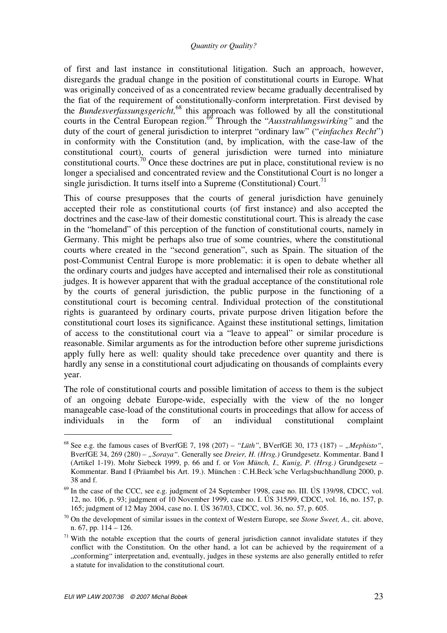of first and last instance in constitutional litigation. Such an approach, however, disregards the gradual change in the position of constitutional courts in Europe. What was originally conceived of as a concentrated review became gradually decentralised by the fiat of the requirement of constitutionally-conform interpretation. First devised by the *Bundesverfassungsgericht,*<sup>68</sup> this approach was followed by all the constitutional courts in the Central European region.<sup>69</sup> Through the "*Ausstrahlungswirking"* and the duty of the court of general jurisdiction to interpret "ordinary law" ("*einfaches Recht*") in conformity with the Constitution (and, by implication, with the case-law of the constitutional court), courts of general jurisdiction were turned into miniature constitutional courts.<sup>70</sup> Once these doctrines are put in place, constitutional review is no longer a specialised and concentrated review and the Constitutional Court is no longer a single jurisdiction. It turns itself into a Supreme (Constitutional) Court.<sup>71</sup>

This of course presupposes that the courts of general jurisdiction have genuinely accepted their role as constitutional courts (of first instance) and also accepted the doctrines and the case-law of their domestic constitutional court. This is already the case in the "homeland" of this perception of the function of constitutional courts, namely in Germany. This might be perhaps also true of some countries, where the constitutional courts where created in the "second generation", such as Spain. The situation of the post-Communist Central Europe is more problematic: it is open to debate whether all the ordinary courts and judges have accepted and internalised their role as constitutional judges. It is however apparent that with the gradual acceptance of the constitutional role by the courts of general jurisdiction, the public purpose in the functioning of a constitutional court is becoming central. Individual protection of the constitutional rights is guaranteed by ordinary courts, private purpose driven litigation before the constitutional court loses its significance. Against these institutional settings, limitation of access to the constitutional court via a "leave to appeal" or similar procedure is reasonable. Similar arguments as for the introduction before other supreme jurisdictions apply fully here as well: quality should take precedence over quantity and there is hardly any sense in a constitutional court adjudicating on thousands of complaints every year.

The role of constitutional courts and possible limitation of access to them is the subject of an ongoing debate Europe-wide, especially with the view of the no longer manageable case-load of the constitutional courts in proceedings that allow for access of individuals in the form of an individual constitutional complaint

<sup>68</sup> See e.g. the famous cases of BverfGE 7, 198 (207) – *"Lüth"*, BVerfGE 30, 173 (187) – *"Mephisto"*, BverfGE 34, 269 (280) - "Soraya". Generally see Dreier, H. (Hrsg.) Grundgesetz. Kommentar. Band I (Artikel 1-19). Mohr Siebeck 1999, p. 66 and f. or *Von Münch, I., Kunig, P. (Hrsg.)* Grundgesetz – Kommentar. Band I (Präambel bis Art. 19.). München : C.H.Beck´sche Verlagsbuchhandlung 2000, p. 38 and f.

 $69$  In the case of the CCC, see e.g. judgment of 24 September 1998, case no. III. ÚS 139/98, CDCC, vol. 12, no. 106, p. 93; judgment of 10 November 1999, case no. I. ÚS 315/99, CDCC, vol. 16, no. 157, p. 165; judgment of 12 May 2004, case no. I. ÚS 367/03, CDCC, vol. 36, no. 57, p. 605.

<sup>70</sup> On the development of similar issues in the context of Western Europe, see *Stone Sweet, A.,* cit. above, n. 67, pp. 114 – 126.

 $71$  With the notable exception that the courts of general jurisdiction cannot invalidate statutes if they conflict with the Constitution. On the other hand, a lot can be achieved by the requirement of a "conforming" interpretation and, eventually, judges in these systems are also generally entitled to refer a statute for invalidation to the constitutional court.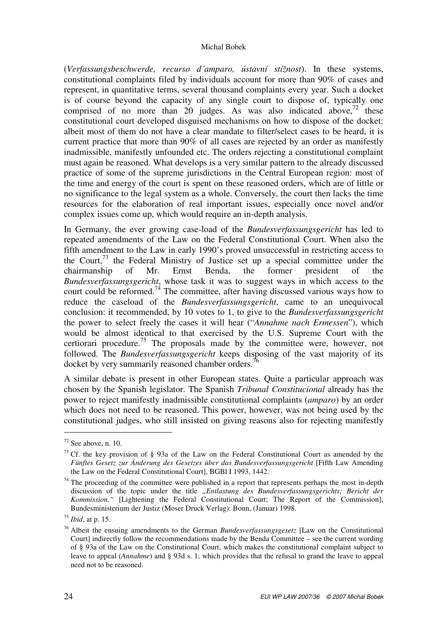(*Verfassungsbeschwerde, recurso d´amparo, ústavní stížnost*). In these systems, constitutional complaints filed by individuals account for more than 90% of cases and represent, in quantitative terms, several thousand complaints every year. Such a docket is of course beyond the capacity of any single court to dispose of, typically one comprised of no more than 20 judges. As was also indicated above,  $72$  these constitutional court developed disguised mechanisms on how to dispose of the docket: albeit most of them do not have a clear mandate to filter/select cases to be heard, it is current practice that more than 90% of all cases are rejected by an order as manifestly inadmissible, manifestly unfounded etc. The orders rejecting a constitutional complaint must again be reasoned. What develops is a very similar pattern to the already discussed practice of some of the supreme jurisdictions in the Central European region: most of the time and energy of the court is spent on these reasoned orders, which are of little or no significance to the legal system as a whole. Conversely, the court then lacks the time resources for the elaboration of real important issues, especially once novel and/or complex issues come up, which would require an in-depth analysis.

In Germany, the ever growing case-load of the *Bundesverfassungsgericht* has led to repeated amendments of the Law on the Federal Constitutional Court. When also the fifth amendment to the Law in early 1990's proved unsuccessful in restricting access to the Court,  $^{73}$  the Federal Ministry of Justice set up a special committee under the chairmanship of Mr. Ernst Benda, the former president of the *Bundesverfassungsgericht*, whose task it was to suggest ways in which access to the court could be reformed.<sup>74</sup> The committee, after having discussed various ways how to reduce the caseload of the *Bundesverfassungsgericht*, came to an unequivocal conclusion: it recommended, by 10 votes to 1, to give to the *Bundesverfassungsgericht* the power to select freely the cases it will hear ("*Annahme nach Ermessen*"), which would be almost identical to that exercised by the U.S. Supreme Court with the certiorari procedure.<sup>75</sup> The proposals made by the committee were, however, not followed. The *Bundesverfassungsgericht* keeps disposing of the vast majority of its docket by very summarily reasoned chamber orders.<sup>7</sup>

A similar debate is present in other European states. Quite a particular approach was chosen by the Spanish legislator. The Spanish *Tribunal Constitucional* already has the power to reject manifestly inadmissible constitutional complaints (*amparo*) by an order which does not need to be reasoned. This power, however, was not being used by the constitutional judges, who still insisted on giving reasons also for rejecting manifestly

 $72$  See above, n. 10.

 $^{73}$  Cf. the key provision of § 93a of the Law on the Federal Constitutional Court as amended by the *Fünftes Gesetz zur Änderung des Gesetzes über das Bundesverfassungsgericht* [Fifth Law Amending the Law on the Federal Constitutional Court], BGBl I 1993, 1442.

 $74$  The proceeding of the committee were published in a report that represents perhaps the most in-depth discussion of the topic under the title *"Entlastung des Bundesverfassungsgerichts; Bericht der Kommission."* [Lightening the Federal Constitutional Court; The Report of the Commission], Bundesministerium der Justiz (Moser Druck Verlag): Bonn, (Januar) 1998.

<sup>75</sup> *Ibid*, at p. 15.

<sup>76</sup> Albeit the ensuing amendments to the German *Bundesverfassungsgesetz* [Law on the Constitutional Court] indirectly follow the recommendations made by the Benda Committee – see the current wording of § 93a of the Law on the Constitutional Court, which makes the constitutional complaint subject to leave to appeal (*Annahme*) and § 93d s. 1, which provides that the refusal to grand the leave to appeal need not to be reasoned.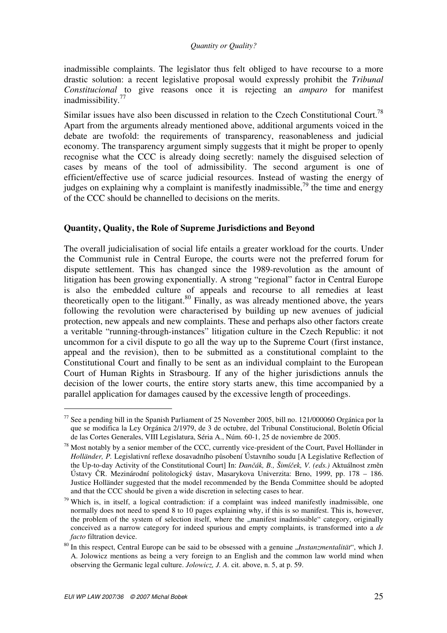inadmissible complaints. The legislator thus felt obliged to have recourse to a more drastic solution: a recent legislative proposal would expressly prohibit the *Tribunal Constitucional* to give reasons once it is rejecting an *amparo* for manifest inadmissibility.<sup>77</sup>

Similar issues have also been discussed in relation to the Czech Constitutional Court.<sup>78</sup> Apart from the arguments already mentioned above, additional arguments voiced in the debate are twofold: the requirements of transparency, reasonableness and judicial economy. The transparency argument simply suggests that it might be proper to openly recognise what the CCC is already doing secretly: namely the disguised selection of cases by means of the tool of admissibility. The second argument is one of efficient/effective use of scarce judicial resources. Instead of wasting the energy of judges on explaining why a complaint is manifestly inadmissible.<sup>79</sup> the time and energy of the CCC should be channelled to decisions on the merits.

# **Quantity, Quality, the Role of Supreme Jurisdictions and Beyond**

The overall judicialisation of social life entails a greater workload for the courts. Under the Communist rule in Central Europe, the courts were not the preferred forum for dispute settlement. This has changed since the 1989-revolution as the amount of litigation has been growing exponentially. A strong "regional" factor in Central Europe is also the embedded culture of appeals and recourse to all remedies at least theoretically open to the litigant. $80$  Finally, as was already mentioned above, the years following the revolution were characterised by building up new avenues of judicial protection, new appeals and new complaints. These and perhaps also other factors create a veritable "running-through-instances" litigation culture in the Czech Republic: it not uncommon for a civil dispute to go all the way up to the Supreme Court (first instance, appeal and the revision), then to be submitted as a constitutional complaint to the Constitutional Court and finally to be sent as an individual complaint to the European Court of Human Rights in Strasbourg. If any of the higher jurisdictions annuls the decision of the lower courts, the entire story starts anew, this time accompanied by a parallel application for damages caused by the excessive length of proceedings.

<sup>77</sup> See a pending bill in the Spanish Parliament of 25 November 2005, bill no. 121/000060 Orgánica por la que se modifica la Ley Orgánica 2/1979, de 3 de octubre, del Tribunal Constitucional, Boletín Oficial de las Cortes Generales, VIII Legislatura, Séria A., Núm. 60-1, 25 de noviembre de 2005.

<sup>&</sup>lt;sup>78</sup> Most notably by a senior member of the CCC, currently vice-president of the Court, Pavel Holländer in *Holländer, P.* Legislativní reflexe dosavadního působení Ústavního soudu [A Legislative Reflection of the Up-to-day Activity of the Constitutional Court] In: *Dan*č*ák, B., Šimí*č*ek, V. (eds.)* Aktuálnost změn Ústavy ČR. Mezinárodní politologický ústav, Masarykova Univerzita: Brno, 1999, pp. 178 – 186. Justice Holländer suggested that the model recommended by the Benda Committee should be adopted and that the CCC should be given a wide discretion in selecting cases to hear.

 $79$  Which is, in itself, a logical contradiction: if a complaint was indeed manifestly inadmissible, one normally does not need to spend 8 to 10 pages explaining why, if this is so manifest. This is, however, the problem of the system of selection itself, where the "manifest inadmissible" category, originally conceived as a narrow category for indeed spurious and empty complaints, is transformed into a *de facto* filtration device.

<sup>&</sup>lt;sup>80</sup> In this respect, Central Europe can be said to be obsessed with a genuine "*Instanzmentalität"*, which J. A. Jolowicz mentions as being a very foreign to an English and the common law world mind when observing the Germanic legal culture. *Jolowicz, J. A.* cit. above, n. 5, at p. 59.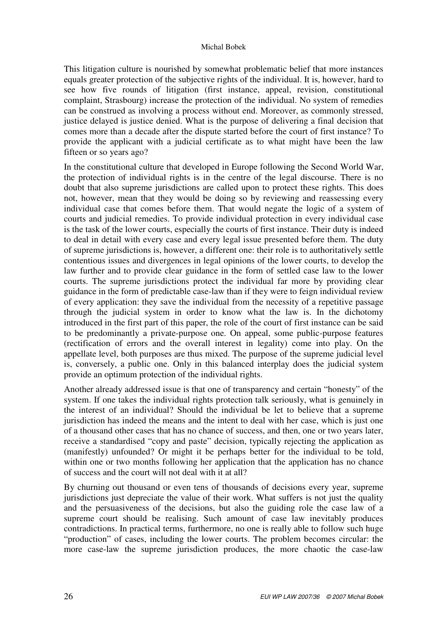This litigation culture is nourished by somewhat problematic belief that more instances equals greater protection of the subjective rights of the individual. It is, however, hard to see how five rounds of litigation (first instance, appeal, revision, constitutional complaint, Strasbourg) increase the protection of the individual. No system of remedies can be construed as involving a process without end. Moreover, as commonly stressed, justice delayed is justice denied. What is the purpose of delivering a final decision that comes more than a decade after the dispute started before the court of first instance? To provide the applicant with a judicial certificate as to what might have been the law fifteen or so years ago?

In the constitutional culture that developed in Europe following the Second World War, the protection of individual rights is in the centre of the legal discourse. There is no doubt that also supreme jurisdictions are called upon to protect these rights. This does not, however, mean that they would be doing so by reviewing and reassessing every individual case that comes before them. That would negate the logic of a system of courts and judicial remedies. To provide individual protection in every individual case is the task of the lower courts, especially the courts of first instance. Their duty is indeed to deal in detail with every case and every legal issue presented before them. The duty of supreme jurisdictions is, however, a different one: their role is to authoritatively settle contentious issues and divergences in legal opinions of the lower courts, to develop the law further and to provide clear guidance in the form of settled case law to the lower courts. The supreme jurisdictions protect the individual far more by providing clear guidance in the form of predictable case-law than if they were to feign individual review of every application: they save the individual from the necessity of a repetitive passage through the judicial system in order to know what the law is. In the dichotomy introduced in the first part of this paper, the role of the court of first instance can be said to be predominantly a private-purpose one. On appeal, some public-purpose features (rectification of errors and the overall interest in legality) come into play. On the appellate level, both purposes are thus mixed. The purpose of the supreme judicial level is, conversely, a public one. Only in this balanced interplay does the judicial system provide an optimum protection of the individual rights.

Another already addressed issue is that one of transparency and certain "honesty" of the system. If one takes the individual rights protection talk seriously, what is genuinely in the interest of an individual? Should the individual be let to believe that a supreme jurisdiction has indeed the means and the intent to deal with her case, which is just one of a thousand other cases that has no chance of success, and then, one or two years later, receive a standardised "copy and paste" decision, typically rejecting the application as (manifestly) unfounded? Or might it be perhaps better for the individual to be told, within one or two months following her application that the application has no chance of success and the court will not deal with it at all?

By churning out thousand or even tens of thousands of decisions every year, supreme jurisdictions just depreciate the value of their work. What suffers is not just the quality and the persuasiveness of the decisions, but also the guiding role the case law of a supreme court should be realising. Such amount of case law inevitably produces contradictions. In practical terms, furthermore, no one is really able to follow such huge "production" of cases, including the lower courts. The problem becomes circular: the more case-law the supreme jurisdiction produces, the more chaotic the case-law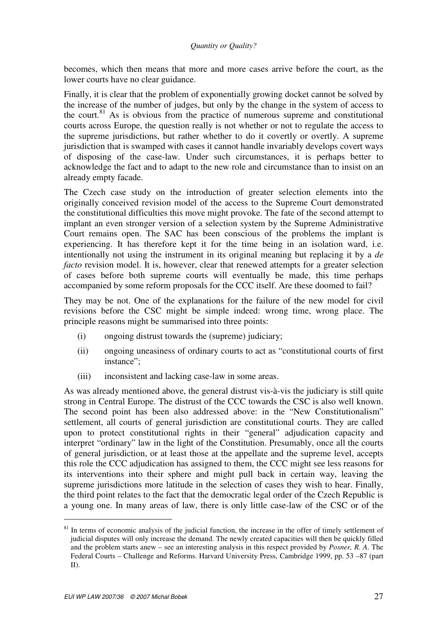becomes, which then means that more and more cases arrive before the court, as the lower courts have no clear guidance.

Finally, it is clear that the problem of exponentially growing docket cannot be solved by the increase of the number of judges, but only by the change in the system of access to the court. $81$  As is obvious from the practice of numerous supreme and constitutional courts across Europe, the question really is not whether or not to regulate the access to the supreme jurisdictions, but rather whether to do it covertly or overtly. A supreme jurisdiction that is swamped with cases it cannot handle invariably develops covert ways of disposing of the case-law. Under such circumstances, it is perhaps better to acknowledge the fact and to adapt to the new role and circumstance than to insist on an already empty facade.

The Czech case study on the introduction of greater selection elements into the originally conceived revision model of the access to the Supreme Court demonstrated the constitutional difficulties this move might provoke. The fate of the second attempt to implant an even stronger version of a selection system by the Supreme Administrative Court remains open. The SAC has been conscious of the problems the implant is experiencing. It has therefore kept it for the time being in an isolation ward, i.e. intentionally not using the instrument in its original meaning but replacing it by a *de facto* revision model. It is, however, clear that renewed attempts for a greater selection of cases before both supreme courts will eventually be made, this time perhaps accompanied by some reform proposals for the CCC itself. Are these doomed to fail?

They may be not. One of the explanations for the failure of the new model for civil revisions before the CSC might be simple indeed: wrong time, wrong place. The principle reasons might be summarised into three points:

- (i) ongoing distrust towards the (supreme) judiciary;
- (ii) ongoing uneasiness of ordinary courts to act as "constitutional courts of first instance";
- (iii) inconsistent and lacking case-law in some areas.

As was already mentioned above, the general distrust vis-à-vis the judiciary is still quite strong in Central Europe. The distrust of the CCC towards the CSC is also well known. The second point has been also addressed above: in the "New Constitutionalism" settlement, all courts of general jurisdiction are constitutional courts. They are called upon to protect constitutional rights in their "general" adjudication capacity and interpret "ordinary" law in the light of the Constitution. Presumably, once all the courts of general jurisdiction, or at least those at the appellate and the supreme level, accepts this role the CCC adjudication has assigned to them, the CCC might see less reasons for its interventions into their sphere and might pull back in certain way, leaving the supreme jurisdictions more latitude in the selection of cases they wish to hear. Finally, the third point relates to the fact that the democratic legal order of the Czech Republic is a young one. In many areas of law, there is only little case-law of the CSC or of the

<sup>&</sup>lt;sup>81</sup> In terms of economic analysis of the judicial function, the increase in the offer of timely settlement of judicial disputes will only increase the demand. The newly created capacities will then be quickly filled and the problem starts anew – see an interesting analysis in this respect provided by *Posner, R. A*. The Federal Courts – Challenge and Reforms. Harvard University Press, Cambridge 1999, pp. 53 –87 (part II).